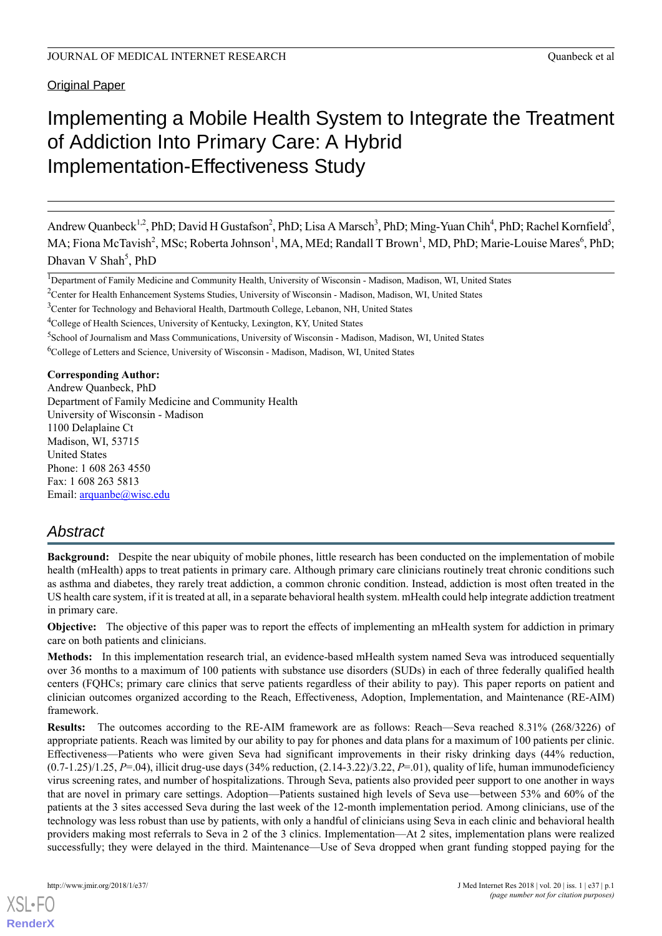# Implementing a Mobile Health System to Integrate the Treatment of Addiction Into Primary Care: A Hybrid Implementation-Effectiveness Study

Andrew Quanbeck<sup>1,2</sup>, PhD; David H Gustafson<sup>2</sup>, PhD; Lisa A Marsch<sup>3</sup>, PhD; Ming-Yuan Chih<sup>4</sup>, PhD; Rachel Kornfield<sup>5</sup>, MA; Fiona McTavish<sup>2</sup>, MSc; Roberta Johnson<sup>1</sup>, MA, MEd; Randall T Brown<sup>1</sup>, MD, PhD; Marie-Louise Mares<sup>6</sup>, PhD; Dhavan V Shah<sup>5</sup>, PhD

<sup>1</sup>Department of Family Medicine and Community Health, University of Wisconsin - Madison, Madison, WI, United States

<sup>3</sup>Center for Technology and Behavioral Health, Dartmouth College, Lebanon, NH, United States

5 School of Journalism and Mass Communications, University of Wisconsin - Madison, Madison, WI, United States

**Corresponding Author:**

Andrew Quanbeck, PhD Department of Family Medicine and Community Health University of Wisconsin - Madison 1100 Delaplaine Ct Madison, WI, 53715 United States Phone: 1 608 263 4550 Fax: 1 608 263 5813 Email: [arquanbe@wisc.edu](mailto:arquanbe@wisc.edu)

# *Abstract*

**Background:** Despite the near ubiquity of mobile phones, little research has been conducted on the implementation of mobile health (mHealth) apps to treat patients in primary care. Although primary care clinicians routinely treat chronic conditions such as asthma and diabetes, they rarely treat addiction, a common chronic condition. Instead, addiction is most often treated in the US health care system, if it is treated at all, in a separate behavioral health system. mHealth could help integrate addiction treatment in primary care.

**Objective:** The objective of this paper was to report the effects of implementing an mHealth system for addiction in primary care on both patients and clinicians.

**Methods:** In this implementation research trial, an evidence-based mHealth system named Seva was introduced sequentially over 36 months to a maximum of 100 patients with substance use disorders (SUDs) in each of three federally qualified health centers (FQHCs; primary care clinics that serve patients regardless of their ability to pay). This paper reports on patient and clinician outcomes organized according to the Reach, Effectiveness, Adoption, Implementation, and Maintenance (RE-AIM) framework.

**Results:** The outcomes according to the RE-AIM framework are as follows: Reach—Seva reached 8.31% (268/3226) of appropriate patients. Reach was limited by our ability to pay for phones and data plans for a maximum of 100 patients per clinic. Effectiveness—Patients who were given Seva had significant improvements in their risky drinking days (44% reduction,  $(0.7-1.25)/1.25$ , *P*=.04), illicit drug-use days (34% reduction,  $(2.14-3.22)/3.22$ , *P*=.01), quality of life, human immunodeficiency virus screening rates, and number of hospitalizations. Through Seva, patients also provided peer support to one another in ways that are novel in primary care settings. Adoption—Patients sustained high levels of Seva use—between 53% and 60% of the patients at the 3 sites accessed Seva during the last week of the 12-month implementation period. Among clinicians, use of the technology was less robust than use by patients, with only a handful of clinicians using Seva in each clinic and behavioral health providers making most referrals to Seva in 2 of the 3 clinics. Implementation—At 2 sites, implementation plans were realized successfully; they were delayed in the third. Maintenance—Use of Seva dropped when grant funding stopped paying for the

<sup>&</sup>lt;sup>2</sup>Center for Health Enhancement Systems Studies, University of Wisconsin - Madison, Madison, WI, United States

<sup>4</sup>College of Health Sciences, University of Kentucky, Lexington, KY, United States

<sup>6</sup>College of Letters and Science, University of Wisconsin - Madison, Madison, WI, United States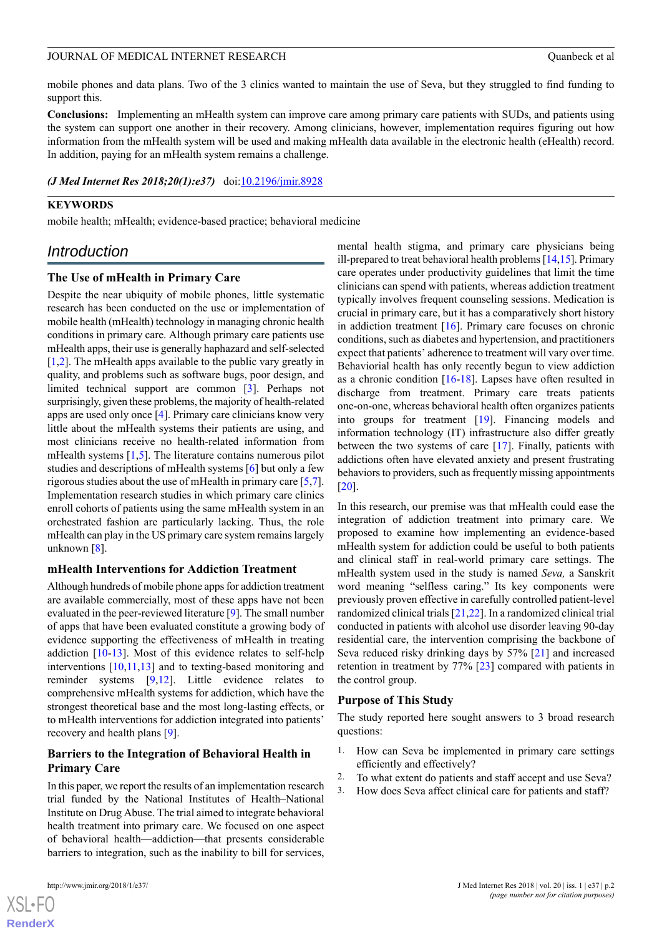mobile phones and data plans. Two of the 3 clinics wanted to maintain the use of Seva, but they struggled to find funding to support this.

**Conclusions:** Implementing an mHealth system can improve care among primary care patients with SUDs, and patients using the system can support one another in their recovery. Among clinicians, however, implementation requires figuring out how information from the mHealth system will be used and making mHealth data available in the electronic health (eHealth) record. In addition, paying for an mHealth system remains a challenge.

*(J Med Internet Res 2018;20(1):e37)* doi:[10.2196/jmir.8928](http://dx.doi.org/10.2196/jmir.8928)

## **KEYWORDS**

mobile health; mHealth; evidence-based practice; behavioral medicine

## *Introduction*

### **The Use of mHealth in Primary Care**

Despite the near ubiquity of mobile phones, little systematic research has been conducted on the use or implementation of mobile health (mHealth) technology in managing chronic health conditions in primary care. Although primary care patients use mHealth apps, their use is generally haphazard and self-selected [[1](#page-13-0)[,2](#page-13-1)]. The mHealth apps available to the public vary greatly in quality, and problems such as software bugs, poor design, and limited technical support are common [\[3](#page-13-2)]. Perhaps not surprisingly, given these problems, the majority of health-related apps are used only once [\[4\]](#page-13-3). Primary care clinicians know very little about the mHealth systems their patients are using, and most clinicians receive no health-related information from mHealth systems [\[1](#page-13-0),[5\]](#page-13-4). The literature contains numerous pilot studies and descriptions of mHealth systems [\[6](#page-13-5)] but only a few rigorous studies about the use of mHealth in primary care [\[5](#page-13-4),[7\]](#page-13-6). Implementation research studies in which primary care clinics enroll cohorts of patients using the same mHealth system in an orchestrated fashion are particularly lacking. Thus, the role mHealth can play in the US primary care system remains largely unknown [[8\]](#page-13-7).

## **mHealth Interventions for Addiction Treatment**

Although hundreds of mobile phone apps for addiction treatment are available commercially, most of these apps have not been evaluated in the peer-reviewed literature [\[9](#page-13-8)]. The small number of apps that have been evaluated constitute a growing body of evidence supporting the effectiveness of mHealth in treating addiction [\[10](#page-13-9)[-13](#page-13-10)]. Most of this evidence relates to self-help interventions [[10,](#page-13-9)[11,](#page-13-11)[13](#page-13-10)] and to texting-based monitoring and reminder systems [[9](#page-13-8)[,12](#page-13-12)]. Little evidence relates to comprehensive mHealth systems for addiction, which have the strongest theoretical base and the most long-lasting effects, or to mHealth interventions for addiction integrated into patients' recovery and health plans [[9\]](#page-13-8).

## **Barriers to the Integration of Behavioral Health in Primary Care**

In this paper, we report the results of an implementation research trial funded by the National Institutes of Health–National Institute on Drug Abuse. The trial aimed to integrate behavioral health treatment into primary care. We focused on one aspect of behavioral health—addiction—that presents considerable barriers to integration, such as the inability to bill for services,

mental health stigma, and primary care physicians being ill-prepared to treat behavioral health problems [\[14](#page-13-13),[15](#page-13-14)]. Primary care operates under productivity guidelines that limit the time clinicians can spend with patients, whereas addiction treatment typically involves frequent counseling sessions. Medication is crucial in primary care, but it has a comparatively short history in addiction treatment [\[16](#page-13-15)]. Primary care focuses on chronic conditions, such as diabetes and hypertension, and practitioners expect that patients' adherence to treatment will vary over time. Behaviorial health has only recently begun to view addiction as a chronic condition [[16-](#page-13-15)[18\]](#page-13-16). Lapses have often resulted in discharge from treatment. Primary care treats patients one-on-one, whereas behavioral health often organizes patients into groups for treatment [\[19](#page-13-17)]. Financing models and information technology (IT) infrastructure also differ greatly between the two systems of care [[17\]](#page-13-18). Finally, patients with addictions often have elevated anxiety and present frustrating behaviors to providers, such as frequently missing appointments [[20\]](#page-14-0).

In this research, our premise was that mHealth could ease the integration of addiction treatment into primary care. We proposed to examine how implementing an evidence-based mHealth system for addiction could be useful to both patients and clinical staff in real-world primary care settings. The mHealth system used in the study is named *Seva,* a Sanskrit word meaning "selfless caring." Its key components were previously proven effective in carefully controlled patient-level randomized clinical trials [\[21](#page-14-1),[22\]](#page-14-2). In a randomized clinical trial conducted in patients with alcohol use disorder leaving 90-day residential care, the intervention comprising the backbone of Seva reduced risky drinking days by 57% [[21\]](#page-14-1) and increased retention in treatment by 77% [\[23](#page-14-3)] compared with patients in the control group.

#### **Purpose of This Study**

The study reported here sought answers to 3 broad research questions:

- 1. How can Seva be implemented in primary care settings efficiently and effectively?
- 2. To what extent do patients and staff accept and use Seva?
- 3. How does Seva affect clinical care for patients and staff?

 $XS$ -FO **[RenderX](http://www.renderx.com/)**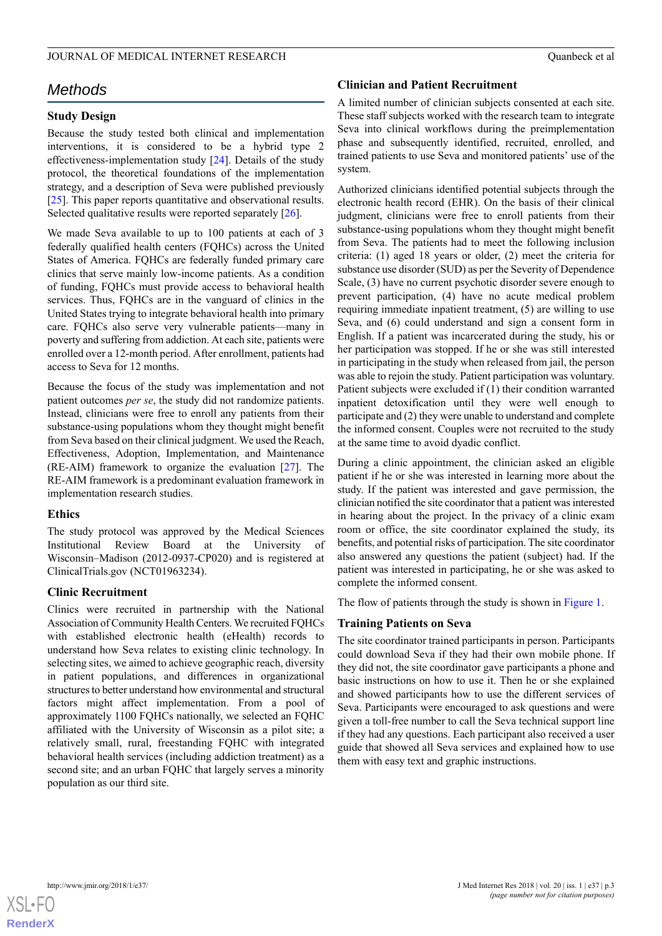## *Methods*

## **Study Design**

Because the study tested both clinical and implementation interventions, it is considered to be a hybrid type 2 effectiveness-implementation study [\[24](#page-14-4)]. Details of the study protocol, the theoretical foundations of the implementation strategy, and a description of Seva were published previously [[25\]](#page-14-5). This paper reports quantitative and observational results. Selected qualitative results were reported separately [\[26](#page-14-6)].

We made Seva available to up to 100 patients at each of 3 federally qualified health centers (FQHCs) across the United States of America. FQHCs are federally funded primary care clinics that serve mainly low-income patients. As a condition of funding, FQHCs must provide access to behavioral health services. Thus, FQHCs are in the vanguard of clinics in the United States trying to integrate behavioral health into primary care. FQHCs also serve very vulnerable patients—many in poverty and suffering from addiction. At each site, patients were enrolled over a 12-month period. After enrollment, patients had access to Seva for 12 months.

Because the focus of the study was implementation and not patient outcomes *per se*, the study did not randomize patients. Instead, clinicians were free to enroll any patients from their substance-using populations whom they thought might benefit from Seva based on their clinical judgment. We used the Reach, Effectiveness, Adoption, Implementation, and Maintenance (RE-AIM) framework to organize the evaluation  $[27]$  $[27]$ . The RE-AIM framework is a predominant evaluation framework in implementation research studies.

## **Ethics**

The study protocol was approved by the Medical Sciences Institutional Review Board at the University of Wisconsin–Madison (2012-0937-CP020) and is registered at ClinicalTrials.gov (NCT01963234).

## **Clinic Recruitment**

Clinics were recruited in partnership with the National Association of Community Health Centers. We recruited FQHCs with established electronic health (eHealth) records to understand how Seva relates to existing clinic technology. In selecting sites, we aimed to achieve geographic reach, diversity in patient populations, and differences in organizational structures to better understand how environmental and structural factors might affect implementation. From a pool of approximately 1100 FQHCs nationally, we selected an FQHC affiliated with the University of Wisconsin as a pilot site; a relatively small, rural, freestanding FQHC with integrated behavioral health services (including addiction treatment) as a second site; and an urban FQHC that largely serves a minority population as our third site.

## **Clinician and Patient Recruitment**

A limited number of clinician subjects consented at each site. These staff subjects worked with the research team to integrate Seva into clinical workflows during the preimplementation phase and subsequently identified, recruited, enrolled, and trained patients to use Seva and monitored patients' use of the system.

Authorized clinicians identified potential subjects through the electronic health record (EHR). On the basis of their clinical judgment, clinicians were free to enroll patients from their substance-using populations whom they thought might benefit from Seva. The patients had to meet the following inclusion criteria: (1) aged 18 years or older, (2) meet the criteria for substance use disorder (SUD) as per the Severity of Dependence Scale, (3) have no current psychotic disorder severe enough to prevent participation, (4) have no acute medical problem requiring immediate inpatient treatment, (5) are willing to use Seva, and (6) could understand and sign a consent form in English. If a patient was incarcerated during the study, his or her participation was stopped. If he or she was still interested in participating in the study when released from jail, the person was able to rejoin the study. Patient participation was voluntary. Patient subjects were excluded if (1) their condition warranted inpatient detoxification until they were well enough to participate and (2) they were unable to understand and complete the informed consent. Couples were not recruited to the study at the same time to avoid dyadic conflict.

During a clinic appointment, the clinician asked an eligible patient if he or she was interested in learning more about the study. If the patient was interested and gave permission, the clinician notified the site coordinator that a patient was interested in hearing about the project. In the privacy of a clinic exam room or office, the site coordinator explained the study, its benefits, and potential risks of participation. The site coordinator also answered any questions the patient (subject) had. If the patient was interested in participating, he or she was asked to complete the informed consent.

The flow of patients through the study is shown in [Figure 1.](#page-3-0)

## **Training Patients on Seva**

The site coordinator trained participants in person. Participants could download Seva if they had their own mobile phone. If they did not, the site coordinator gave participants a phone and basic instructions on how to use it. Then he or she explained and showed participants how to use the different services of Seva. Participants were encouraged to ask questions and were given a toll-free number to call the Seva technical support line if they had any questions. Each participant also received a user guide that showed all Seva services and explained how to use them with easy text and graphic instructions.

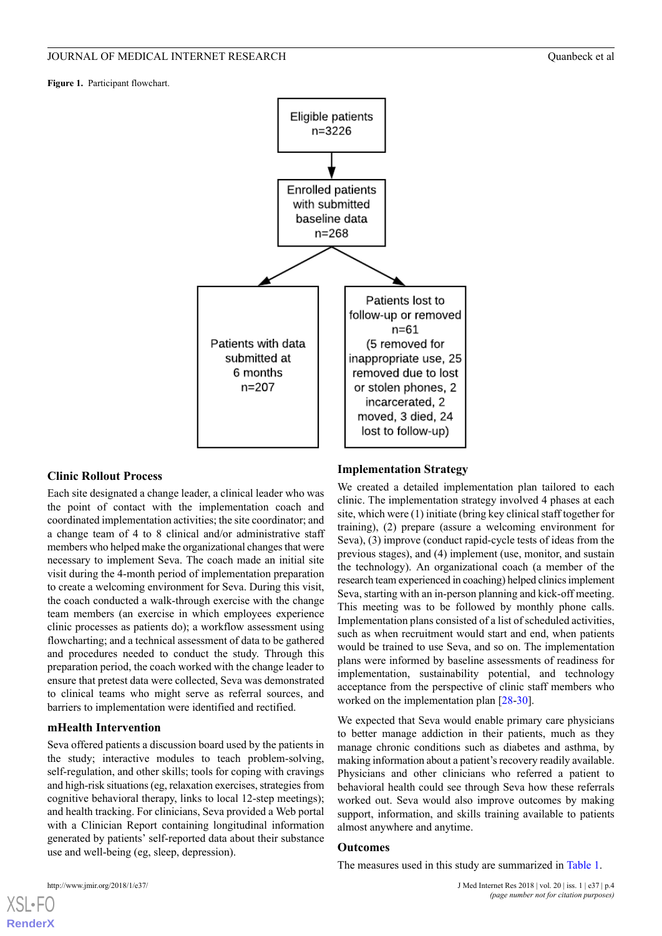<span id="page-3-0"></span>**Figure 1.** Participant flowchart.



## **Clinic Rollout Process**

Each site designated a change leader, a clinical leader who was the point of contact with the implementation coach and coordinated implementation activities; the site coordinator; and a change team of 4 to 8 clinical and/or administrative staff members who helped make the organizational changes that were necessary to implement Seva. The coach made an initial site visit during the 4-month period of implementation preparation to create a welcoming environment for Seva. During this visit, the coach conducted a walk-through exercise with the change team members (an exercise in which employees experience clinic processes as patients do); a workflow assessment using flowcharting; and a technical assessment of data to be gathered and procedures needed to conduct the study. Through this preparation period, the coach worked with the change leader to ensure that pretest data were collected, Seva was demonstrated to clinical teams who might serve as referral sources, and barriers to implementation were identified and rectified.

## **mHealth Intervention**

Seva offered patients a discussion board used by the patients in the study; interactive modules to teach problem-solving, self-regulation, and other skills; tools for coping with cravings and high-risk situations (eg, relaxation exercises, strategies from cognitive behavioral therapy, links to local 12-step meetings); and health tracking. For clinicians, Seva provided a Web portal with a Clinician Report containing longitudinal information generated by patients' self-reported data about their substance use and well-being (eg, sleep, depression).

#### **Implementation Strategy**

We created a detailed implementation plan tailored to each clinic. The implementation strategy involved 4 phases at each site, which were (1) initiate (bring key clinical staff together for training), (2) prepare (assure a welcoming environment for Seva), (3) improve (conduct rapid-cycle tests of ideas from the previous stages), and (4) implement (use, monitor, and sustain the technology). An organizational coach (a member of the research team experienced in coaching) helped clinics implement Seva, starting with an in-person planning and kick-off meeting. This meeting was to be followed by monthly phone calls. Implementation plans consisted of a list of scheduled activities, such as when recruitment would start and end, when patients would be trained to use Seva, and so on. The implementation plans were informed by baseline assessments of readiness for implementation, sustainability potential, and technology acceptance from the perspective of clinic staff members who worked on the implementation plan [[28-](#page-14-8)[30\]](#page-14-9).

We expected that Seva would enable primary care physicians to better manage addiction in their patients, much as they manage chronic conditions such as diabetes and asthma, by making information about a patient's recovery readily available. Physicians and other clinicians who referred a patient to behavioral health could see through Seva how these referrals worked out. Seva would also improve outcomes by making support, information, and skills training available to patients almost anywhere and anytime.

#### **Outcomes**

The measures used in this study are summarized in [Table 1](#page-4-0).



**[RenderX](http://www.renderx.com/)**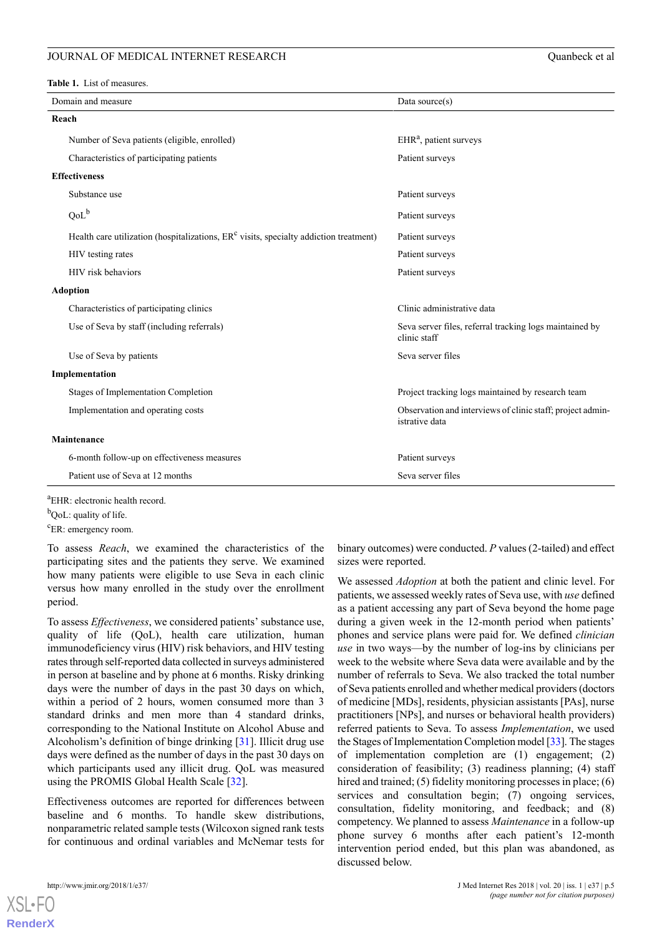#### JOURNAL OF MEDICAL INTERNET RESEARCH  $\frac{1}{2}$  Ouanbeck et al.

<span id="page-4-0"></span>**Table 1.** List of measures.

| Domain and measure<br>Data source $(s)$                                                 |                                                                              |  |  |  |  |
|-----------------------------------------------------------------------------------------|------------------------------------------------------------------------------|--|--|--|--|
| Reach                                                                                   |                                                                              |  |  |  |  |
| Number of Seva patients (eligible, enrolled)                                            | $EHRa$ , patient surveys                                                     |  |  |  |  |
| Characteristics of participating patients                                               | Patient surveys                                                              |  |  |  |  |
| <b>Effectiveness</b>                                                                    |                                                                              |  |  |  |  |
| Substance use                                                                           | Patient surveys                                                              |  |  |  |  |
| $QoL^b$                                                                                 | Patient surveys                                                              |  |  |  |  |
| Health care utilization (hospitalizations, $ERc$ visits, specialty addiction treatment) | Patient surveys                                                              |  |  |  |  |
| HIV testing rates                                                                       | Patient surveys                                                              |  |  |  |  |
| HIV risk behaviors                                                                      | Patient surveys                                                              |  |  |  |  |
| <b>Adoption</b>                                                                         |                                                                              |  |  |  |  |
| Characteristics of participating clinics                                                | Clinic administrative data                                                   |  |  |  |  |
| Use of Seva by staff (including referrals)                                              | Seva server files, referral tracking logs maintained by<br>clinic staff      |  |  |  |  |
| Use of Seva by patients                                                                 | Seva server files                                                            |  |  |  |  |
| Implementation                                                                          |                                                                              |  |  |  |  |
| <b>Stages of Implementation Completion</b>                                              | Project tracking logs maintained by research team                            |  |  |  |  |
| Implementation and operating costs                                                      | Observation and interviews of clinic staff; project admin-<br>istrative data |  |  |  |  |
| Maintenance                                                                             |                                                                              |  |  |  |  |
| 6-month follow-up on effectiveness measures                                             | Patient surveys                                                              |  |  |  |  |
| Patient use of Seva at 12 months                                                        | Seva server files                                                            |  |  |  |  |

<sup>a</sup>EHR: electronic health record.

 $b$ QoL: quality of life.

<sup>c</sup>ER: emergency room.

To assess *Reach*, we examined the characteristics of the participating sites and the patients they serve. We examined how many patients were eligible to use Seva in each clinic versus how many enrolled in the study over the enrollment period.

To assess *Effectiveness*, we considered patients' substance use, quality of life (QoL), health care utilization, human immunodeficiency virus (HIV) risk behaviors, and HIV testing rates through self-reported data collected in surveys administered in person at baseline and by phone at 6 months. Risky drinking days were the number of days in the past 30 days on which, within a period of 2 hours, women consumed more than 3 standard drinks and men more than 4 standard drinks, corresponding to the National Institute on Alcohol Abuse and Alcoholism's definition of binge drinking [[31\]](#page-14-10). Illicit drug use days were defined as the number of days in the past 30 days on which participants used any illicit drug. QoL was measured using the PROMIS Global Health Scale [\[32](#page-14-11)].

Effectiveness outcomes are reported for differences between baseline and 6 months. To handle skew distributions, nonparametric related sample tests (Wilcoxon signed rank tests for continuous and ordinal variables and McNemar tests for

[XSL](http://www.w3.org/Style/XSL)•FO **[RenderX](http://www.renderx.com/)**

binary outcomes) were conducted. *P* values (2-tailed) and effect sizes were reported.

We assessed *Adoption* at both the patient and clinic level. For patients, we assessed weekly rates of Seva use, with *use* defined as a patient accessing any part of Seva beyond the home page during a given week in the 12-month period when patients' phones and service plans were paid for. We defined *clinician use* in two ways—by the number of log-ins by clinicians per week to the website where Seva data were available and by the number of referrals to Seva. We also tracked the total number of Seva patients enrolled and whether medical providers (doctors of medicine [MDs], residents, physician assistants [PAs], nurse practitioners [NPs], and nurses or behavioral health providers) referred patients to Seva. To assess *Implementation*, we used the Stages of Implementation Completion model [[33\]](#page-14-12). The stages of implementation completion are (1) engagement; (2) consideration of feasibility; (3) readiness planning; (4) staff hired and trained; (5) fidelity monitoring processes in place; (6) services and consultation begin; (7) ongoing services, consultation, fidelity monitoring, and feedback; and (8) competency. We planned to assess *Maintenance* in a follow-up phone survey 6 months after each patient's 12-month intervention period ended, but this plan was abandoned, as discussed below.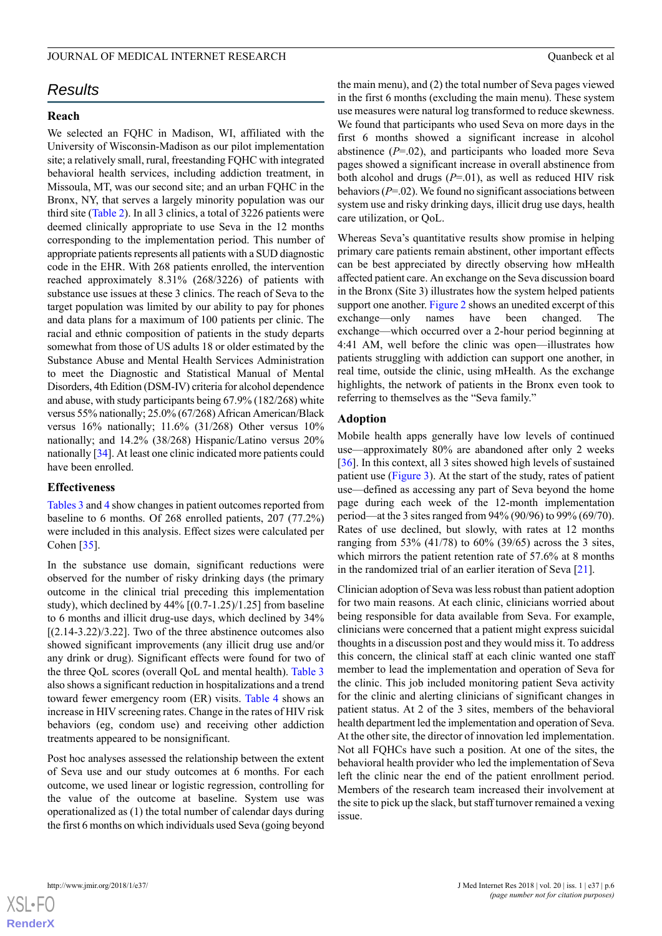#### JOURNAL OF MEDICAL INTERNET RESEARCH **COMBINAL COMBINER COMBINER COMBINER COMBINER COMBINER COMBINER COMBINER COM**

## *Results*

## **Reach**

We selected an FQHC in Madison, WI, affiliated with the University of Wisconsin-Madison as our pilot implementation site; a relatively small, rural, freestanding FQHC with integrated behavioral health services, including addiction treatment, in Missoula, MT, was our second site; and an urban FQHC in the Bronx, NY, that serves a largely minority population was our third site ([Table 2\)](#page-6-0). In all 3 clinics, a total of 3226 patients were deemed clinically appropriate to use Seva in the 12 months corresponding to the implementation period. This number of appropriate patients represents all patients with a SUD diagnostic code in the EHR. With 268 patients enrolled, the intervention reached approximately 8.31% (268/3226) of patients with substance use issues at these 3 clinics. The reach of Seva to the target population was limited by our ability to pay for phones and data plans for a maximum of 100 patients per clinic. The racial and ethnic composition of patients in the study departs somewhat from those of US adults 18 or older estimated by the Substance Abuse and Mental Health Services Administration to meet the Diagnostic and Statistical Manual of Mental Disorders, 4th Edition (DSM-IV) criteria for alcohol dependence and abuse, with study participants being 67.9% (182/268) white versus 55% nationally; 25.0% (67/268) African American/Black versus 16% nationally; 11.6% (31/268) Other versus 10% nationally; and 14.2% (38/268) Hispanic/Latino versus 20% nationally [\[34](#page-14-13)]. At least one clinic indicated more patients could have been enrolled.

#### **Effectiveness**

[Tables 3](#page-7-0) and [4](#page-7-1) show changes in patient outcomes reported from baseline to 6 months. Of 268 enrolled patients, 207 (77.2%) were included in this analysis. Effect sizes were calculated per Cohen [\[35](#page-14-14)].

In the substance use domain, significant reductions were observed for the number of risky drinking days (the primary outcome in the clinical trial preceding this implementation study), which declined by  $44\%$   $[(0.7-1.25)/1.25]$  from baseline to 6 months and illicit drug-use days, which declined by 34%  $[(2.14-3.22)/3.22]$ . Two of the three abstinence outcomes also showed significant improvements (any illicit drug use and/or any drink or drug). Significant effects were found for two of the three QoL scores (overall QoL and mental health). [Table 3](#page-7-0) also shows a significant reduction in hospitalizations and a trend toward fewer emergency room (ER) visits. [Table 4](#page-7-1) shows an increase in HIV screening rates. Change in the rates of HIV risk behaviors (eg, condom use) and receiving other addiction treatments appeared to be nonsignificant.

Post hoc analyses assessed the relationship between the extent of Seva use and our study outcomes at 6 months. For each outcome, we used linear or logistic regression, controlling for the value of the outcome at baseline. System use was operationalized as (1) the total number of calendar days during the first 6 months on which individuals used Seva (going beyond

the main menu), and (2) the total number of Seva pages viewed in the first 6 months (excluding the main menu). These system use measures were natural log transformed to reduce skewness. We found that participants who used Seva on more days in the first 6 months showed a significant increase in alcohol abstinence  $(P=0.02)$ , and participants who loaded more Seva pages showed a significant increase in overall abstinence from both alcohol and drugs (*P*=.01), as well as reduced HIV risk behaviors (*P*=.02). We found no significant associations between system use and risky drinking days, illicit drug use days, health care utilization, or QoL.

Whereas Seva's quantitative results show promise in helping primary care patients remain abstinent, other important effects can be best appreciated by directly observing how mHealth affected patient care. An exchange on the Seva discussion board in the Bronx (Site 3) illustrates how the system helped patients support one another. [Figure 2](#page-8-0) shows an unedited excerpt of this exchange—only names have been changed. The exchange—which occurred over a 2-hour period beginning at 4:41 AM, well before the clinic was open—illustrates how patients struggling with addiction can support one another, in real time, outside the clinic, using mHealth. As the exchange highlights, the network of patients in the Bronx even took to referring to themselves as the "Seva family."

## **Adoption**

Mobile health apps generally have low levels of continued use—approximately 80% are abandoned after only 2 weeks [[36\]](#page-14-15). In this context, all 3 sites showed high levels of sustained patient use ([Figure 3](#page-9-0)). At the start of the study, rates of patient use—defined as accessing any part of Seva beyond the home page during each week of the 12-month implementation period—at the 3 sites ranged from 94% (90/96) to 99% (69/70). Rates of use declined, but slowly, with rates at 12 months ranging from 53% (41/78) to 60% (39/65) across the 3 sites, which mirrors the patient retention rate of 57.6% at 8 months in the randomized trial of an earlier iteration of Seva [\[21](#page-14-1)].

Clinician adoption of Seva was less robust than patient adoption for two main reasons. At each clinic, clinicians worried about being responsible for data available from Seva. For example, clinicians were concerned that a patient might express suicidal thoughts in a discussion post and they would miss it. To address this concern, the clinical staff at each clinic wanted one staff member to lead the implementation and operation of Seva for the clinic. This job included monitoring patient Seva activity for the clinic and alerting clinicians of significant changes in patient status. At 2 of the 3 sites, members of the behavioral health department led the implementation and operation of Seva. At the other site, the director of innovation led implementation. Not all FQHCs have such a position. At one of the sites, the behavioral health provider who led the implementation of Seva left the clinic near the end of the patient enrollment period. Members of the research team increased their involvement at the site to pick up the slack, but staff turnover remained a vexing issue.

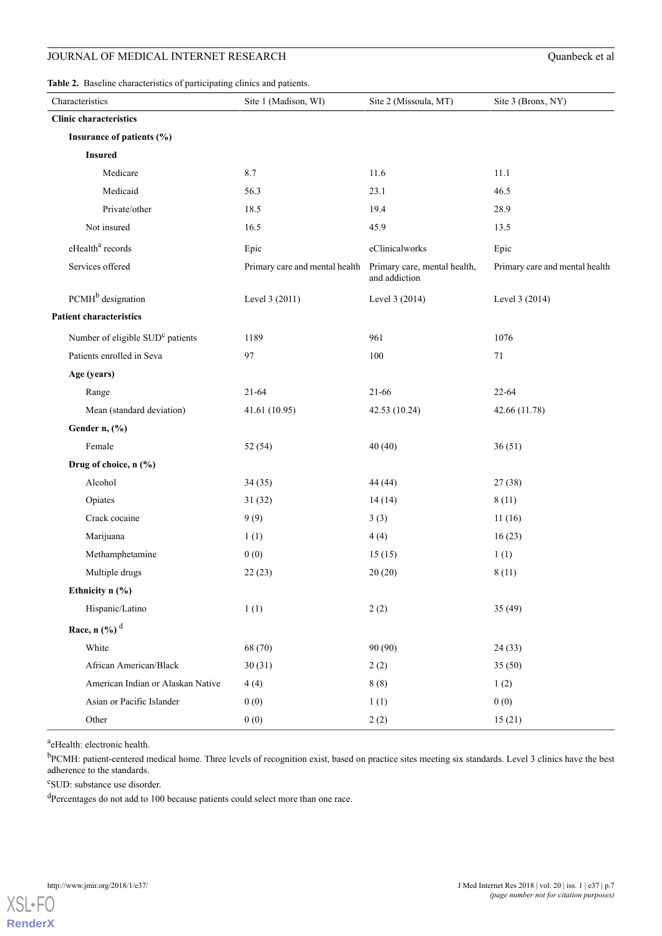<span id="page-6-0"></span>

| Characteristics                              | Site 1 (Madison, WI)                                        | Site 2 (Missoula, MT) | Site 3 (Bronx, NY)             |
|----------------------------------------------|-------------------------------------------------------------|-----------------------|--------------------------------|
| <b>Clinic characteristics</b>                |                                                             |                       |                                |
| Insurance of patients (%)                    |                                                             |                       |                                |
| <b>Insured</b>                               |                                                             |                       |                                |
| Medicare                                     | 8.7                                                         | 11.6                  | 11.1                           |
| Medicaid                                     | 56.3                                                        | 23.1                  | 46.5                           |
| Private/other                                | 18.5                                                        | 19.4                  | 28.9                           |
| Not insured                                  | 16.5                                                        | 45.9                  | 13.5                           |
| eHealth <sup>a</sup> records                 | Epic                                                        | eClinicalworks        | Epic                           |
| Services offered                             | Primary care and mental health Primary care, mental health, | and addiction         | Primary care and mental health |
| PCMH <sup>b</sup> designation                | Level 3 (2011)                                              | Level 3 (2014)        | Level 3 (2014)                 |
| <b>Patient characteristics</b>               |                                                             |                       |                                |
| Number of eligible SUD <sup>c</sup> patients | 1189                                                        | 961                   | 1076                           |
| Patients enrolled in Seva                    | 97                                                          | 100                   | 71                             |
| Age (years)                                  |                                                             |                       |                                |
| Range                                        | $21 - 64$                                                   | 21-66                 | $22 - 64$                      |
| Mean (standard deviation)                    | 41.61 (10.95)                                               | 42.53 (10.24)         | 42.66 (11.78)                  |
| Gender n, (%)                                |                                                             |                       |                                |
| Female                                       | 52 (54)                                                     | 40(40)                | 36(51)                         |
| Drug of choice, n (%)                        |                                                             |                       |                                |
| Alcohol                                      | 34(35)                                                      | 44 (44)               | 27(38)                         |
| Opiates                                      | 31(32)                                                      | 14(14)                | 8(11)                          |
| Crack cocaine                                | 9(9)                                                        | 3(3)                  | 11(16)                         |
| Marijuana                                    | 1(1)                                                        | 4(4)                  | 16(23)                         |
| Methamphetamine                              | 0(0)                                                        | 15(15)                | 1(1)                           |
| Multiple drugs                               | 22(23)                                                      | 20(20)                | 8(11)                          |
| Ethnicity n (%)                              |                                                             |                       |                                |
| Hispanic/Latino                              | 1(1)                                                        | 2(2)                  | 35(49)                         |
| Race, n $(\frac{6}{6})^d$                    |                                                             |                       |                                |
| White                                        | 68 (70)                                                     | 90 (90)               | 24(33)                         |
| African American/Black                       | 30(31)                                                      | 2(2)                  | 35(50)                         |
| American Indian or Alaskan Native            | 4(4)                                                        | 8(8)                  | 1(2)                           |
| Asian or Pacific Islander                    | 0(0)                                                        | 1(1)                  | 0(0)                           |
| Other                                        | 0(0)                                                        | 2(2)                  | 15(21)                         |

<sup>a</sup>eHealth: electronic health.

<sup>b</sup>PCMH: patient-centered medical home. Three levels of recognition exist, based on practice sites meeting six standards. Level 3 clinics have the best adherence to the standards.

c SUD: substance use disorder.

<sup>d</sup>Percentages do not add to 100 because patients could select more than one race.

[XSL](http://www.w3.org/Style/XSL)•FO **[RenderX](http://www.renderx.com/)**

 $\overline{a}$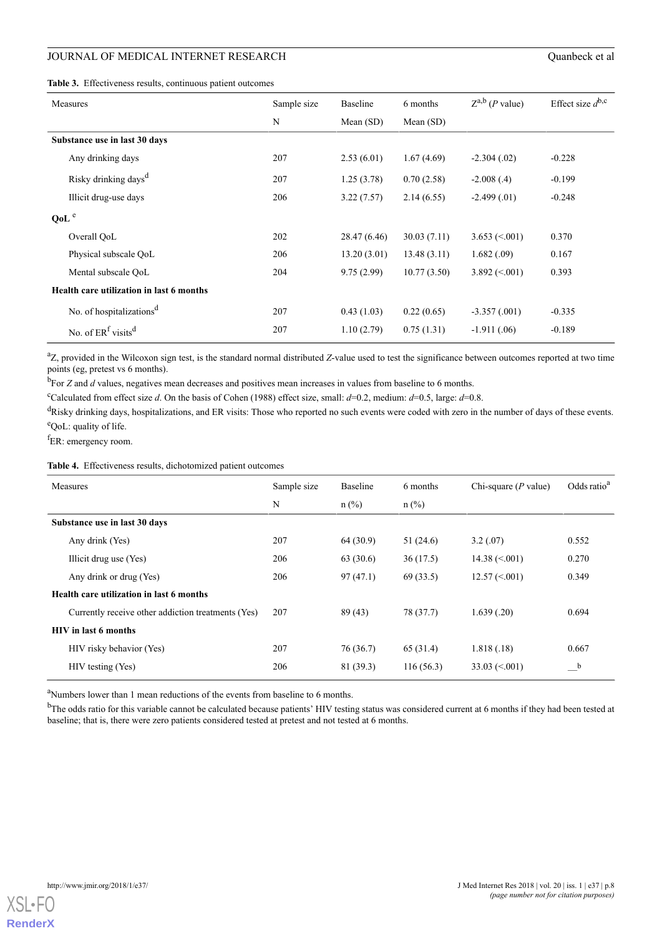## JOURNAL OF MEDICAL INTERNET RESEARCH Quantity of all the contract experiments of  $Q$

<span id="page-7-0"></span>

|  | <b>Table 3.</b> Effectiveness results, continuous patient outcomes |  |  |  |  |
|--|--------------------------------------------------------------------|--|--|--|--|
|--|--------------------------------------------------------------------|--|--|--|--|

| Quanbeck et al |  |  |
|----------------|--|--|
|                |  |  |

| Measures                                 | Sample size | <b>Baseline</b> | 6 months    | $Z^{a,b}$ ( <i>P</i> value) | Effect size $d^{b,c}$ |
|------------------------------------------|-------------|-----------------|-------------|-----------------------------|-----------------------|
|                                          | N           | Mean $(SD)$     | Mean $(SD)$ |                             |                       |
| Substance use in last 30 days            |             |                 |             |                             |                       |
| Any drinking days                        | 207         | 2.53(6.01)      | 1.67(4.69)  | $-2.304(.02)$               | $-0.228$              |
| Risky drinking days <sup>d</sup>         | 207         | 1.25(3.78)      | 0.70(2.58)  | $-2.008(0.4)$               | $-0.199$              |
| Illicit drug-use days                    | 206         | 3.22(7.57)      | 2.14(6.55)  | $-2.499(0.01)$              | $-0.248$              |
| QoL <sup>e</sup>                         |             |                 |             |                             |                       |
| Overall OoL                              | 202         | 28.47 (6.46)    | 30.03(7.11) | $3.653 \approx 0.001$       | 0.370                 |
| Physical subscale QoL                    | 206         | 13.20(3.01)     | 13.48(3.11) | 1.682(.09)                  | 0.167                 |
| Mental subscale QoL                      | 204         | 9.75(2.99)      | 10.77(3.50) | $3.892 \le 0.001$           | 0.393                 |
| Health care utilization in last 6 months |             |                 |             |                             |                       |
| No. of hospitalizations <sup>d</sup>     | 207         | 0.43(1.03)      | 0.22(0.65)  | $-3.357(.001)$              | $-0.335$              |
| No. of $ERf$ visits <sup>d</sup>         | 207         | 1.10(2.79)      | 0.75(1.31)  | $-1.911(0.06)$              | $-0.189$              |

<sup>a</sup>Z, provided in the Wilcoxon sign test, is the standard normal distributed *Z*-value used to test the significance between outcomes reported at two time points (eg, pretest vs 6 months).

<sup>b</sup>For *Z* and *d* values, negatives mean decreases and positives mean increases in values from baseline to 6 months.

<sup>c</sup>Calculated from effect size *d*. On the basis of Cohen (1988) effect size, small:  $d=0.2$ , medium:  $d=0.5$ , large:  $d=0.8$ .

<span id="page-7-1"></span><sup>d</sup>Risky drinking days, hospitalizations, and ER visits: Those who reported no such events were coded with zero in the number of days of these events. <sup>e</sup>QoL: quality of life.

<sup>f</sup>ER: emergency room.

**Table 4.** Effectiveness results, dichotomized patient outcomes

| Measures                                           | Sample size | <b>Baseline</b> | 6 months  | Chi-square $(P$ value) | Odds ratio <sup>a</sup> |
|----------------------------------------------------|-------------|-----------------|-----------|------------------------|-------------------------|
|                                                    | N           | $n$ (%)         | $n$ (%)   |                        |                         |
| Substance use in last 30 days                      |             |                 |           |                        |                         |
| Any drink (Yes)                                    | 207         | 64(30.9)        | 51(24.6)  | 3.2(.07)               | 0.552                   |
| Illicit drug use (Yes)                             | 206         | 63(30.6)        | 36(17.5)  | $14.38 \approx 0.001$  | 0.270                   |
| Any drink or drug (Yes)                            | 206         | 97(47.1)        | 69(33.5)  | $12.57 \approx 001$    | 0.349                   |
| Health care utilization in last 6 months           |             |                 |           |                        |                         |
| Currently receive other addiction treatments (Yes) | 207         | 89(43)          | 78 (37.7) | 1.639(.20)             | 0.694                   |
| <b>HIV</b> in last 6 months                        |             |                 |           |                        |                         |
| HIV risky behavior (Yes)                           | 207         | 76 (36.7)       | 65 (31.4) | 1.818(.18)             | 0.667                   |
| HIV testing (Yes)                                  | 206         | 81 (39.3)       | 116(56.3) | $33.03 \le 0.001$      | $_{\rm b}$              |

<sup>a</sup>Numbers lower than 1 mean reductions of the events from baseline to 6 months.

<sup>b</sup>The odds ratio for this variable cannot be calculated because patients' HIV testing status was considered current at 6 months if they had been tested at baseline; that is, there were zero patients considered tested at pretest and not tested at 6 months.

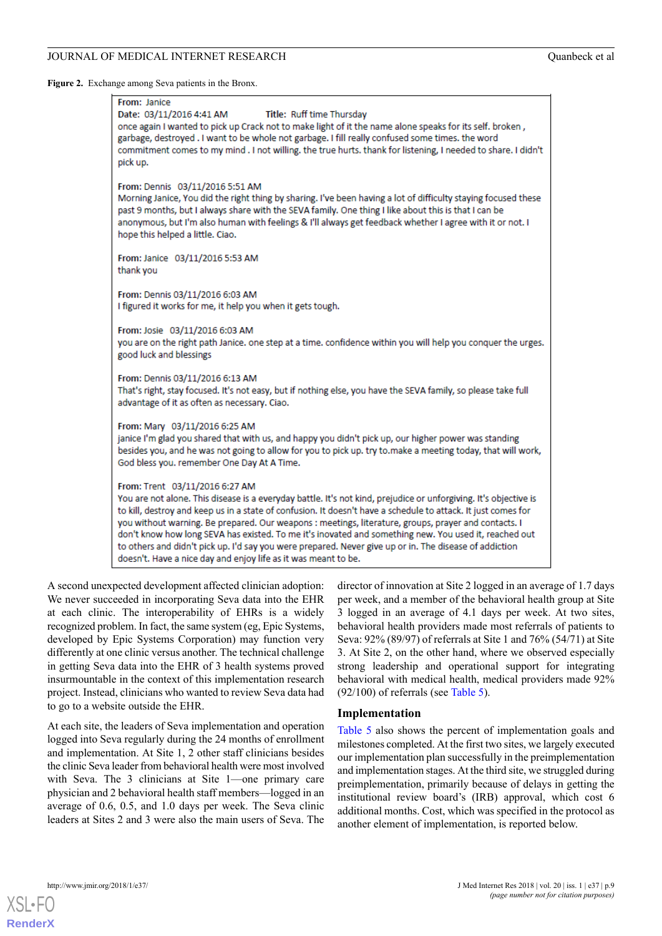<span id="page-8-0"></span>**Figure 2.** Exchange among Seva patients in the Bronx.

| From: Janice<br>Date: 03/11/2016 4:41 AM<br>Title: Ruff time Thursday<br>once again I wanted to pick up Crack not to make light of it the name alone speaks for its self. broken,<br>garbage, destroyed . I want to be whole not garbage. I fill really confused some times. the word<br>commitment comes to my mind . I not willing. the true hurts. thank for listening, I needed to share. I didn't<br>pick up.                                                                                                                                                                                                                                               |
|------------------------------------------------------------------------------------------------------------------------------------------------------------------------------------------------------------------------------------------------------------------------------------------------------------------------------------------------------------------------------------------------------------------------------------------------------------------------------------------------------------------------------------------------------------------------------------------------------------------------------------------------------------------|
| From: Dennis 03/11/2016 5:51 AM<br>Morning Janice, You did the right thing by sharing. I've been having a lot of difficulty staying focused these<br>past 9 months, but I always share with the SEVA family. One thing I like about this is that I can be<br>anonymous, but I'm also human with feelings & I'll always get feedback whether I agree with it or not. I<br>hope this helped a little. Ciao.                                                                                                                                                                                                                                                        |
| From: Janice 03/11/2016 5:53 AM<br>thank you                                                                                                                                                                                                                                                                                                                                                                                                                                                                                                                                                                                                                     |
| From: Dennis 03/11/2016 6:03 AM<br>I figured it works for me, it help you when it gets tough.                                                                                                                                                                                                                                                                                                                                                                                                                                                                                                                                                                    |
| From: Josie 03/11/2016 6:03 AM<br>you are on the right path Janice, one step at a time, confidence within you will help you conquer the urges.<br>good luck and blessings                                                                                                                                                                                                                                                                                                                                                                                                                                                                                        |
| From: Dennis 03/11/2016 6:13 AM<br>That's right, stay focused. It's not easy, but if nothing else, you have the SEVA family, so please take full<br>advantage of it as often as necessary. Ciao.                                                                                                                                                                                                                                                                                                                                                                                                                                                                 |
| From: Mary 03/11/2016 6:25 AM<br>janice I'm glad you shared that with us, and happy you didn't pick up, our higher power was standing<br>besides you, and he was not going to allow for you to pick up. try to.make a meeting today, that will work,<br>God bless you. remember One Day At A Time.                                                                                                                                                                                                                                                                                                                                                               |
| From: Trent 03/11/2016 6:27 AM<br>You are not alone. This disease is a everyday battle. It's not kind, prejudice or unforgiving. It's objective is<br>to kill, destroy and keep us in a state of confusion. It doesn't have a schedule to attack. It just comes for<br>you without warning. Be prepared. Our weapons : meetings, literature, groups, prayer and contacts. I<br>don't know how long SEVA has existed. To me it's inovated and something new. You used it, reached out<br>to others and didn't pick up. I'd say you were prepared. Never give up or in. The disease of addiction<br>doesn't. Have a nice day and enjoy life as it was meant to be. |

A second unexpected development affected clinician adoption: We never succeeded in incorporating Seva data into the EHR at each clinic. The interoperability of EHRs is a widely recognized problem. In fact, the same system (eg, Epic Systems, developed by Epic Systems Corporation) may function very differently at one clinic versus another. The technical challenge in getting Seva data into the EHR of 3 health systems proved insurmountable in the context of this implementation research project. Instead, clinicians who wanted to review Seva data had to go to a website outside the EHR.

At each site, the leaders of Seva implementation and operation logged into Seva regularly during the 24 months of enrollment and implementation. At Site 1, 2 other staff clinicians besides the clinic Seva leader from behavioral health were most involved with Seva. The 3 clinicians at Site 1—one primary care physician and 2 behavioral health staff members—logged in an average of 0.6, 0.5, and 1.0 days per week. The Seva clinic leaders at Sites 2 and 3 were also the main users of Seva. The

director of innovation at Site 2 logged in an average of 1.7 days per week, and a member of the behavioral health group at Site 3 logged in an average of 4.1 days per week. At two sites, behavioral health providers made most referrals of patients to Seva: 92% (89/97) of referrals at Site 1 and 76% (54/71) at Site 3. At Site 2, on the other hand, where we observed especially strong leadership and operational support for integrating behavioral with medical health, medical providers made 92% (92/100) of referrals (see [Table 5](#page-9-1)).

## **Implementation**

[Table 5](#page-9-1) also shows the percent of implementation goals and milestones completed. At the first two sites, we largely executed our implementation plan successfully in the preimplementation and implementation stages. At the third site, we struggled during preimplementation, primarily because of delays in getting the institutional review board's (IRB) approval, which cost 6 additional months. Cost, which was specified in the protocol as another element of implementation, is reported below.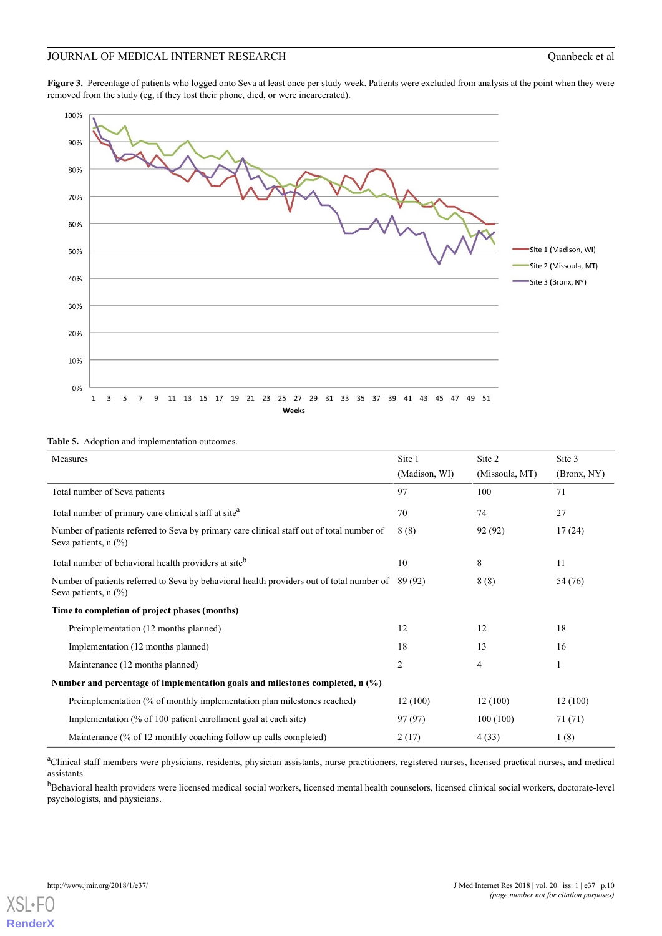<span id="page-9-0"></span>Figure 3. Percentage of patients who logged onto Seva at least once per study week. Patients were excluded from analysis at the point when they were removed from the study (eg, if they lost their phone, died, or were incarcerated).



#### <span id="page-9-1"></span>**Table 5.** Adoption and implementation outcomes.

| Measures                                                                                                                       | Site 1         | Site 2         | Site 3      |  |
|--------------------------------------------------------------------------------------------------------------------------------|----------------|----------------|-------------|--|
|                                                                                                                                |                |                |             |  |
|                                                                                                                                | (Madison, WI)  | (Missoula, MT) | (Bronx, NY) |  |
| Total number of Seva patients                                                                                                  | 97             | 100            | 71          |  |
| Total number of primary care clinical staff at site <sup>a</sup>                                                               | 70             | 74             | 27          |  |
| Number of patients referred to Seva by primary care clinical staff out of total number of<br>Seva patients, $n$ (%)            | 8(8)           | 92 (92)        | 17(24)      |  |
| Total number of behavioral health providers at site <sup>b</sup>                                                               | 10             | 8              | 11          |  |
| Number of patients referred to Seva by behavioral health providers out of total number of 89 (92)<br>Seva patients, $n$ $(\%)$ |                | 8(8)           | 54 (76)     |  |
| Time to completion of project phases (months)                                                                                  |                |                |             |  |
| Preimplementation (12 months planned)                                                                                          | 12             | 12             | 18          |  |
| Implementation (12 months planned)                                                                                             | 18             | 13             | 16          |  |
| Maintenance (12 months planned)                                                                                                | $\overline{c}$ | 4              | 1           |  |
| Number and percentage of implementation goals and milestones completed, $n$ (%)                                                |                |                |             |  |
| Preimplementation (% of monthly implementation plan milestones reached)                                                        | 12(100)        | 12(100)        | 12(100)     |  |
| Implementation (% of 100 patient enrollment goal at each site)                                                                 | 97 (97)        | 100(100)       | 71(71)      |  |
| Maintenance (% of 12 monthly coaching follow up calls completed)                                                               | 2(17)          | 4(33)          | 1(8)        |  |

<sup>a</sup>Clinical staff members were physicians, residents, physician assistants, nurse practitioners, registered nurses, licensed practical nurses, and medical assistants.

<sup>b</sup>Behavioral health providers were licensed medical social workers, licensed mental health counselors, licensed clinical social workers, doctorate-level psychologists, and physicians.

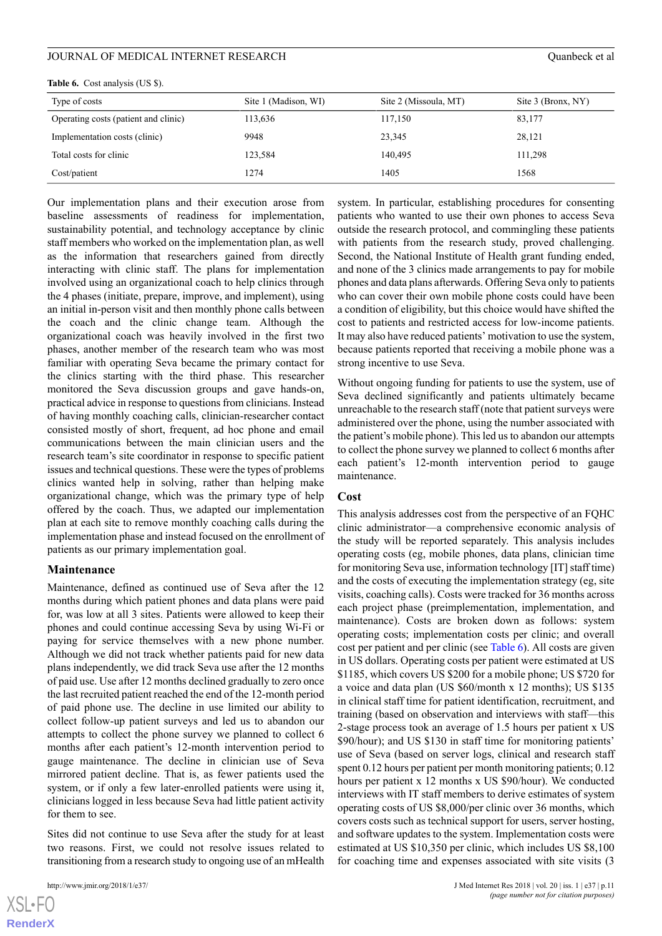#### JOURNAL OF MEDICAL INTERNET RESEARCH  $\frac{1}{2}$  Ouanbeck et al.

| Type of costs                        | Site 1 (Madison, WI) | Site 2 (Missoula, MT) | Site 3 (Bronx, NY) |
|--------------------------------------|----------------------|-----------------------|--------------------|
| Operating costs (patient and clinic) | 113,636              | 117,150               | 83,177             |
| Implementation costs (clinic)        | 9948                 | 23,345                | 28,121             |
| Total costs for clinic               | 123,584              | 140,495               | 111,298            |
| Cost/patient                         | 1274                 | 1405                  | 1568               |

<span id="page-10-0"></span>**Table 6.** Cost analysis (US \$).

Our implementation plans and their execution arose from baseline assessments of readiness for implementation, sustainability potential, and technology acceptance by clinic staff members who worked on the implementation plan, as well as the information that researchers gained from directly interacting with clinic staff. The plans for implementation involved using an organizational coach to help clinics through the 4 phases (initiate, prepare, improve, and implement), using an initial in-person visit and then monthly phone calls between the coach and the clinic change team. Although the organizational coach was heavily involved in the first two phases, another member of the research team who was most familiar with operating Seva became the primary contact for the clinics starting with the third phase. This researcher monitored the Seva discussion groups and gave hands-on, practical advice in response to questions from clinicians. Instead of having monthly coaching calls, clinician-researcher contact consisted mostly of short, frequent, ad hoc phone and email communications between the main clinician users and the research team's site coordinator in response to specific patient issues and technical questions. These were the types of problems clinics wanted help in solving, rather than helping make organizational change, which was the primary type of help offered by the coach. Thus, we adapted our implementation plan at each site to remove monthly coaching calls during the implementation phase and instead focused on the enrollment of patients as our primary implementation goal.

#### **Maintenance**

Maintenance, defined as continued use of Seva after the 12 months during which patient phones and data plans were paid for, was low at all 3 sites. Patients were allowed to keep their phones and could continue accessing Seva by using Wi-Fi or paying for service themselves with a new phone number. Although we did not track whether patients paid for new data plans independently, we did track Seva use after the 12 months of paid use. Use after 12 months declined gradually to zero once the last recruited patient reached the end of the 12-month period of paid phone use. The decline in use limited our ability to collect follow-up patient surveys and led us to abandon our attempts to collect the phone survey we planned to collect 6 months after each patient's 12-month intervention period to gauge maintenance. The decline in clinician use of Seva mirrored patient decline. That is, as fewer patients used the system, or if only a few later-enrolled patients were using it, clinicians logged in less because Seva had little patient activity for them to see.

Sites did not continue to use Seva after the study for at least two reasons. First, we could not resolve issues related to transitioning from a research study to ongoing use of an mHealth

 $XS$ -FO **[RenderX](http://www.renderx.com/)** system. In particular, establishing procedures for consenting patients who wanted to use their own phones to access Seva outside the research protocol, and commingling these patients with patients from the research study, proved challenging. Second, the National Institute of Health grant funding ended, and none of the 3 clinics made arrangements to pay for mobile phones and data plans afterwards. Offering Seva only to patients who can cover their own mobile phone costs could have been a condition of eligibility, but this choice would have shifted the cost to patients and restricted access for low-income patients. It may also have reduced patients' motivation to use the system, because patients reported that receiving a mobile phone was a strong incentive to use Seva.

Without ongoing funding for patients to use the system, use of Seva declined significantly and patients ultimately became unreachable to the research staff (note that patient surveys were administered over the phone, using the number associated with the patient's mobile phone). This led us to abandon our attempts to collect the phone survey we planned to collect 6 months after each patient's 12-month intervention period to gauge maintenance.

#### **Cost**

This analysis addresses cost from the perspective of an FQHC clinic administrator—a comprehensive economic analysis of the study will be reported separately. This analysis includes operating costs (eg, mobile phones, data plans, clinician time for monitoring Seva use, information technology [IT] staff time) and the costs of executing the implementation strategy (eg, site visits, coaching calls). Costs were tracked for 36 months across each project phase (preimplementation, implementation, and maintenance). Costs are broken down as follows: system operating costs; implementation costs per clinic; and overall cost per patient and per clinic (see [Table 6\)](#page-10-0). All costs are given in US dollars. Operating costs per patient were estimated at US \$1185, which covers US \$200 for a mobile phone; US \$720 for a voice and data plan (US \$60/month x 12 months); US \$135 in clinical staff time for patient identification, recruitment, and training (based on observation and interviews with staff—this 2-stage process took an average of 1.5 hours per patient x US \$90/hour); and US \$130 in staff time for monitoring patients' use of Seva (based on server logs, clinical and research staff spent 0.12 hours per patient per month monitoring patients; 0.12 hours per patient x 12 months x US \$90/hour). We conducted interviews with IT staff members to derive estimates of system operating costs of US \$8,000/per clinic over 36 months, which covers costs such as technical support for users, server hosting, and software updates to the system. Implementation costs were estimated at US \$10,350 per clinic, which includes US \$8,100 for coaching time and expenses associated with site visits (3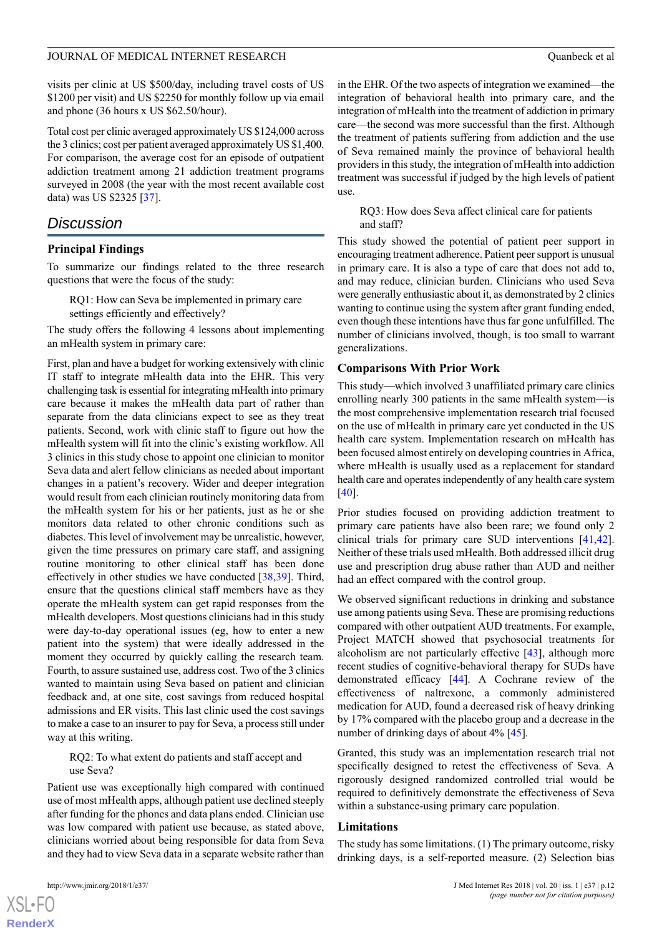visits per clinic at US \$500/day, including travel costs of US \$1200 per visit) and US \$2250 for monthly follow up via email and phone (36 hours x US \$62.50/hour).

Total cost per clinic averaged approximately US \$124,000 across the 3 clinics; cost per patient averaged approximately US \$1,400. For comparison, the average cost for an episode of outpatient addiction treatment among 21 addiction treatment programs surveyed in 2008 (the year with the most recent available cost data) was US \$2325 [\[37](#page-14-16)].

## *Discussion*

#### **Principal Findings**

To summarize our findings related to the three research questions that were the focus of the study:

RQ1: How can Seva be implemented in primary care settings efficiently and effectively?

The study offers the following 4 lessons about implementing an mHealth system in primary care:

First, plan and have a budget for working extensively with clinic IT staff to integrate mHealth data into the EHR. This very challenging task is essential for integrating mHealth into primary care because it makes the mHealth data part of rather than separate from the data clinicians expect to see as they treat patients. Second, work with clinic staff to figure out how the mHealth system will fit into the clinic's existing workflow. All 3 clinics in this study chose to appoint one clinician to monitor Seva data and alert fellow clinicians as needed about important changes in a patient's recovery. Wider and deeper integration would result from each clinician routinely monitoring data from the mHealth system for his or her patients, just as he or she monitors data related to other chronic conditions such as diabetes. This level of involvement may be unrealistic, however, given the time pressures on primary care staff, and assigning routine monitoring to other clinical staff has been done effectively in other studies we have conducted [[38](#page-14-17)[,39](#page-14-18)]. Third, ensure that the questions clinical staff members have as they operate the mHealth system can get rapid responses from the mHealth developers. Most questions clinicians had in this study were day-to-day operational issues (eg, how to enter a new patient into the system) that were ideally addressed in the moment they occurred by quickly calling the research team. Fourth, to assure sustained use, address cost. Two of the 3 clinics wanted to maintain using Seva based on patient and clinician feedback and, at one site, cost savings from reduced hospital admissions and ER visits. This last clinic used the cost savings to make a case to an insurer to pay for Seva, a process still under way at this writing.

#### RQ2: To what extent do patients and staff accept and use Seva?

Patient use was exceptionally high compared with continued use of most mHealth apps, although patient use declined steeply after funding for the phones and data plans ended. Clinician use was low compared with patient use because, as stated above, clinicians worried about being responsible for data from Seva and they had to view Seva data in a separate website rather than

 $XS$ -FO **[RenderX](http://www.renderx.com/)** in the EHR. Of the two aspects of integration we examined—the integration of behavioral health into primary care, and the integration of mHealth into the treatment of addiction in primary care—the second was more successful than the first. Although the treatment of patients suffering from addiction and the use of Seva remained mainly the province of behavioral health providers in this study, the integration of mHealth into addiction treatment was successful if judged by the high levels of patient use.

RQ3: How does Seva affect clinical care for patients and staff?

This study showed the potential of patient peer support in encouraging treatment adherence. Patient peer support is unusual in primary care. It is also a type of care that does not add to, and may reduce, clinician burden. Clinicians who used Seva were generally enthusiastic about it, as demonstrated by 2 clinics wanting to continue using the system after grant funding ended, even though these intentions have thus far gone unfulfilled. The number of clinicians involved, though, is too small to warrant generalizations.

#### **Comparisons With Prior Work**

This study—which involved 3 unaffiliated primary care clinics enrolling nearly 300 patients in the same mHealth system—is the most comprehensive implementation research trial focused on the use of mHealth in primary care yet conducted in the US health care system. Implementation research on mHealth has been focused almost entirely on developing countries in Africa, where mHealth is usually used as a replacement for standard health care and operates independently of any health care system [[40\]](#page-15-0).

Prior studies focused on providing addiction treatment to primary care patients have also been rare; we found only 2 clinical trials for primary care SUD interventions [\[41](#page-15-1),[42\]](#page-15-2). Neither of these trials used mHealth. Both addressed illicit drug use and prescription drug abuse rather than AUD and neither had an effect compared with the control group.

We observed significant reductions in drinking and substance use among patients using Seva. These are promising reductions compared with other outpatient AUD treatments. For example, Project MATCH showed that psychosocial treatments for alcoholism are not particularly effective [\[43](#page-15-3)], although more recent studies of cognitive-behavioral therapy for SUDs have demonstrated efficacy [\[44](#page-15-4)]. A Cochrane review of the effectiveness of naltrexone, a commonly administered medication for AUD, found a decreased risk of heavy drinking by 17% compared with the placebo group and a decrease in the number of drinking days of about 4% [\[45](#page-15-5)].

Granted, this study was an implementation research trial not specifically designed to retest the effectiveness of Seva. A rigorously designed randomized controlled trial would be required to definitively demonstrate the effectiveness of Seva within a substance-using primary care population.

#### **Limitations**

The study has some limitations. (1) The primary outcome, risky drinking days, is a self-reported measure. (2) Selection bias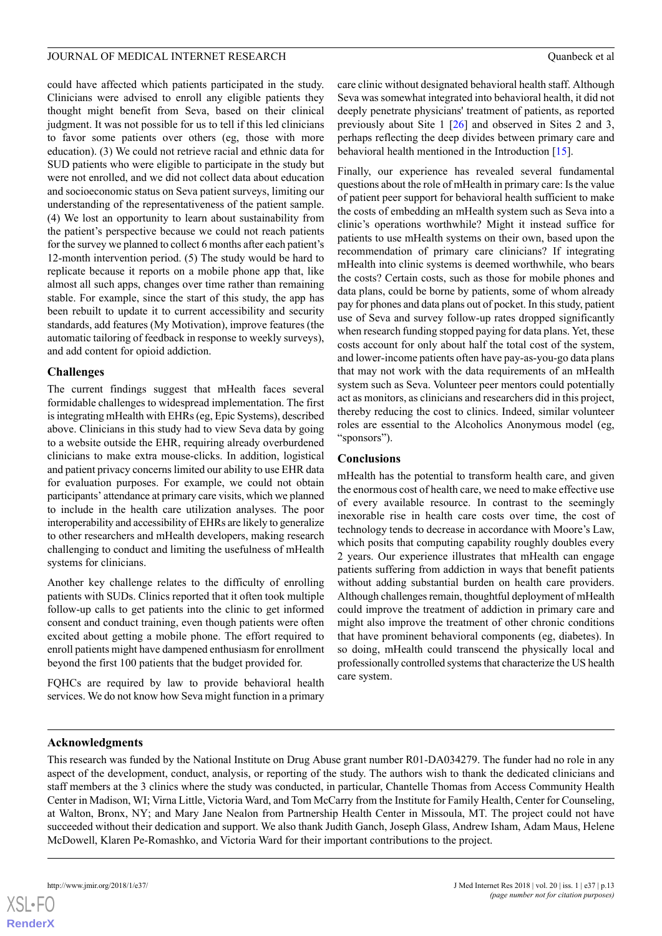### JOURNAL OF MEDICAL INTERNET RESEARCH **COMBINAL COMBINER COMBINER COMBINER COMBINER COMBINER COMBINER COMBINER COM**

could have affected which patients participated in the study. Clinicians were advised to enroll any eligible patients they thought might benefit from Seva, based on their clinical judgment. It was not possible for us to tell if this led clinicians to favor some patients over others (eg, those with more education). (3) We could not retrieve racial and ethnic data for SUD patients who were eligible to participate in the study but were not enrolled, and we did not collect data about education and socioeconomic status on Seva patient surveys, limiting our understanding of the representativeness of the patient sample. (4) We lost an opportunity to learn about sustainability from the patient's perspective because we could not reach patients for the survey we planned to collect 6 months after each patient's 12-month intervention period. (5) The study would be hard to replicate because it reports on a mobile phone app that, like almost all such apps, changes over time rather than remaining stable. For example, since the start of this study, the app has been rebuilt to update it to current accessibility and security standards, add features (My Motivation), improve features (the automatic tailoring of feedback in response to weekly surveys), and add content for opioid addiction.

## **Challenges**

The current findings suggest that mHealth faces several formidable challenges to widespread implementation. The first is integrating mHealth with EHRs (eg, Epic Systems), described above. Clinicians in this study had to view Seva data by going to a website outside the EHR, requiring already overburdened clinicians to make extra mouse-clicks. In addition, logistical and patient privacy concerns limited our ability to use EHR data for evaluation purposes. For example, we could not obtain participants' attendance at primary care visits, which we planned to include in the health care utilization analyses. The poor interoperability and accessibility of EHRs are likely to generalize to other researchers and mHealth developers, making research challenging to conduct and limiting the usefulness of mHealth systems for clinicians.

Another key challenge relates to the difficulty of enrolling patients with SUDs. Clinics reported that it often took multiple follow-up calls to get patients into the clinic to get informed consent and conduct training, even though patients were often excited about getting a mobile phone. The effort required to enroll patients might have dampened enthusiasm for enrollment beyond the first 100 patients that the budget provided for.

FQHCs are required by law to provide behavioral health services. We do not know how Seva might function in a primary care clinic without designated behavioral health staff. Although Seva was somewhat integrated into behavioral health, it did not deeply penetrate physicians' treatment of patients, as reported previously about Site 1 [[26\]](#page-14-6) and observed in Sites 2 and 3, perhaps reflecting the deep divides between primary care and behavioral health mentioned in the Introduction [\[15](#page-13-14)].

Finally, our experience has revealed several fundamental questions about the role of mHealth in primary care: Is the value of patient peer support for behavioral health sufficient to make the costs of embedding an mHealth system such as Seva into a clinic's operations worthwhile? Might it instead suffice for patients to use mHealth systems on their own, based upon the recommendation of primary care clinicians? If integrating mHealth into clinic systems is deemed worthwhile, who bears the costs? Certain costs, such as those for mobile phones and data plans, could be borne by patients, some of whom already pay for phones and data plans out of pocket. In this study, patient use of Seva and survey follow-up rates dropped significantly when research funding stopped paying for data plans. Yet, these costs account for only about half the total cost of the system, and lower-income patients often have pay-as-you-go data plans that may not work with the data requirements of an mHealth system such as Seva. Volunteer peer mentors could potentially act as monitors, as clinicians and researchers did in this project, thereby reducing the cost to clinics. Indeed, similar volunteer roles are essential to the Alcoholics Anonymous model (eg, "sponsors").

## **Conclusions**

mHealth has the potential to transform health care, and given the enormous cost of health care, we need to make effective use of every available resource. In contrast to the seemingly inexorable rise in health care costs over time, the cost of technology tends to decrease in accordance with Moore's Law, which posits that computing capability roughly doubles every 2 years. Our experience illustrates that mHealth can engage patients suffering from addiction in ways that benefit patients without adding substantial burden on health care providers. Although challenges remain, thoughtful deployment of mHealth could improve the treatment of addiction in primary care and might also improve the treatment of other chronic conditions that have prominent behavioral components (eg, diabetes). In so doing, mHealth could transcend the physically local and professionally controlled systems that characterize the US health care system.

## **Acknowledgments**

This research was funded by the National Institute on Drug Abuse grant number R01-DA034279. The funder had no role in any aspect of the development, conduct, analysis, or reporting of the study. The authors wish to thank the dedicated clinicians and staff members at the 3 clinics where the study was conducted, in particular, Chantelle Thomas from Access Community Health Center in Madison, WI; Virna Little, Victoria Ward, and Tom McCarry from the Institute for Family Health, Center for Counseling, at Walton, Bronx, NY; and Mary Jane Nealon from Partnership Health Center in Missoula, MT. The project could not have succeeded without their dedication and support. We also thank Judith Ganch, Joseph Glass, Andrew Isham, Adam Maus, Helene McDowell, Klaren Pe-Romashko, and Victoria Ward for their important contributions to the project.

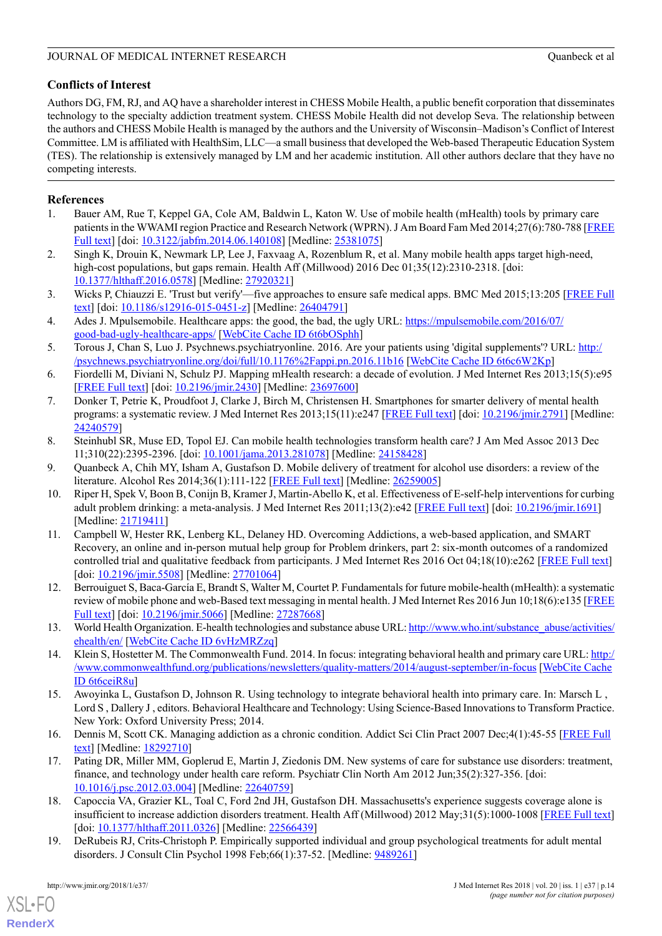## **Conflicts of Interest**

Authors DG, FM, RJ, and AQ have a shareholder interest in CHESS Mobile Health, a public benefit corporation that disseminates technology to the specialty addiction treatment system. CHESS Mobile Health did not develop Seva. The relationship between the authors and CHESS Mobile Health is managed by the authors and the University of Wisconsin–Madison's Conflict of Interest Committee. LM is affiliated with HealthSim, LLC—a small business that developed the Web-based Therapeutic Education System (TES). The relationship is extensively managed by LM and her academic institution. All other authors declare that they have no competing interests.

## <span id="page-13-0"></span>**References**

- <span id="page-13-1"></span>1. Bauer AM, Rue T, Keppel GA, Cole AM, Baldwin L, Katon W. Use of mobile health (mHealth) tools by primary care patients in the WWAMI region Practice and Research Network (WPRN). J Am Board Fam Med 2014;27(6):780-788 [\[FREE](http://www.jabfm.org/cgi/pmidlookup?view=long&pmid=25381075) [Full text](http://www.jabfm.org/cgi/pmidlookup?view=long&pmid=25381075)] [doi: [10.3122/jabfm.2014.06.140108](http://dx.doi.org/10.3122/jabfm.2014.06.140108)] [Medline: [25381075](http://www.ncbi.nlm.nih.gov/entrez/query.fcgi?cmd=Retrieve&db=PubMed&list_uids=25381075&dopt=Abstract)]
- <span id="page-13-2"></span>2. Singh K, Drouin K, Newmark LP, Lee J, Faxvaag A, Rozenblum R, et al. Many mobile health apps target high-need, high-cost populations, but gaps remain. Health Aff (Millwood) 2016 Dec 01;35(12):2310-2318. [doi: [10.1377/hlthaff.2016.0578](http://dx.doi.org/10.1377/hlthaff.2016.0578)] [Medline: [27920321\]](http://www.ncbi.nlm.nih.gov/entrez/query.fcgi?cmd=Retrieve&db=PubMed&list_uids=27920321&dopt=Abstract)
- <span id="page-13-3"></span>3. Wicks P, Chiauzzi E. 'Trust but verify'—five approaches to ensure safe medical apps. BMC Med 2015;13:205 [[FREE Full](http://bmcmedicine.biomedcentral.com/articles/10.1186/s12916-015-0451-z) [text\]](http://bmcmedicine.biomedcentral.com/articles/10.1186/s12916-015-0451-z) [doi: [10.1186/s12916-015-0451-z\]](http://dx.doi.org/10.1186/s12916-015-0451-z) [Medline: [26404791\]](http://www.ncbi.nlm.nih.gov/entrez/query.fcgi?cmd=Retrieve&db=PubMed&list_uids=26404791&dopt=Abstract)
- <span id="page-13-4"></span>4. Ades J. Mpulsemobile. Healthcare apps: the good, the bad, the ugly URL: [https://mpulsemobile.com/2016/07/](https://mpulsemobile.com/2016/07/good-bad-ugly-healthcare-apps/) [good-bad-ugly-healthcare-apps/](https://mpulsemobile.com/2016/07/good-bad-ugly-healthcare-apps/) [[WebCite Cache ID 6t6bOSphh](http://www.webcitation.org/6t6bOSphh)]
- <span id="page-13-5"></span>5. Torous J, Chan S, Luo J. Psychnews.psychiatryonline. 2016. Are your patients using 'digital supplements'? URL: [http:/](http://psychnews.psychiatryonline.org/doi/full/10.1176%2Fappi.pn.2016.11b16) [/psychnews.psychiatryonline.org/doi/full/10.1176%2Fappi.pn.2016.11b16](http://psychnews.psychiatryonline.org/doi/full/10.1176%2Fappi.pn.2016.11b16) [\[WebCite Cache ID 6t6c6W2Kp\]](http://www.webcitation.org/6t6c6W2Kp)
- <span id="page-13-6"></span>6. Fiordelli M, Diviani N, Schulz PJ. Mapping mHealth research: a decade of evolution. J Med Internet Res 2013;15(5):e95 [[FREE Full text](http://www.jmir.org/2013/5/e95/)] [doi: [10.2196/jmir.2430](http://dx.doi.org/10.2196/jmir.2430)] [Medline: [23697600](http://www.ncbi.nlm.nih.gov/entrez/query.fcgi?cmd=Retrieve&db=PubMed&list_uids=23697600&dopt=Abstract)]
- <span id="page-13-7"></span>7. Donker T, Petrie K, Proudfoot J, Clarke J, Birch M, Christensen H. Smartphones for smarter delivery of mental health programs: a systematic review. J Med Internet Res 2013;15(11):e247 [[FREE Full text\]](http://www.jmir.org/2013/11/e247/) [doi: [10.2196/jmir.2791\]](http://dx.doi.org/10.2196/jmir.2791) [Medline: [24240579](http://www.ncbi.nlm.nih.gov/entrez/query.fcgi?cmd=Retrieve&db=PubMed&list_uids=24240579&dopt=Abstract)]
- <span id="page-13-9"></span><span id="page-13-8"></span>8. Steinhubl SR, Muse ED, Topol EJ. Can mobile health technologies transform health care? J Am Med Assoc 2013 Dec 11;310(22):2395-2396. [doi: [10.1001/jama.2013.281078\]](http://dx.doi.org/10.1001/jama.2013.281078) [Medline: [24158428](http://www.ncbi.nlm.nih.gov/entrez/query.fcgi?cmd=Retrieve&db=PubMed&list_uids=24158428&dopt=Abstract)]
- 9. Quanbeck A, Chih MY, Isham A, Gustafson D. Mobile delivery of treatment for alcohol use disorders: a review of the literature. Alcohol Res 2014;36(1):111-122 [\[FREE Full text\]](http://europepmc.org/abstract/MED/26259005) [Medline: [26259005\]](http://www.ncbi.nlm.nih.gov/entrez/query.fcgi?cmd=Retrieve&db=PubMed&list_uids=26259005&dopt=Abstract)
- <span id="page-13-11"></span>10. Riper H, Spek V, Boon B, Conijn B, Kramer J, Martin-Abello K, et al. Effectiveness of E-self-help interventions for curbing adult problem drinking: a meta-analysis. J Med Internet Res 2011;13(2):e42 [\[FREE Full text\]](http://www.jmir.org/2011/2/e42/) [doi: [10.2196/jmir.1691\]](http://dx.doi.org/10.2196/jmir.1691) [Medline: [21719411](http://www.ncbi.nlm.nih.gov/entrez/query.fcgi?cmd=Retrieve&db=PubMed&list_uids=21719411&dopt=Abstract)]
- <span id="page-13-12"></span>11. Campbell W, Hester RK, Lenberg KL, Delaney HD. Overcoming Addictions, a web-based application, and SMART Recovery, an online and in-person mutual help group for Problem drinkers, part 2: six-month outcomes of a randomized controlled trial and qualitative feedback from participants. J Med Internet Res 2016 Oct 04;18(10):e262 [[FREE Full text](http://www.jmir.org/2016/10/e262/)] [doi: [10.2196/jmir.5508\]](http://dx.doi.org/10.2196/jmir.5508) [Medline: [27701064\]](http://www.ncbi.nlm.nih.gov/entrez/query.fcgi?cmd=Retrieve&db=PubMed&list_uids=27701064&dopt=Abstract)
- <span id="page-13-13"></span><span id="page-13-10"></span>12. Berrouiguet S, Baca-García E, Brandt S, Walter M, Courtet P. Fundamentals for future mobile-health (mHealth): a systematic review of mobile phone and web-Based text messaging in mental health. J Med Internet Res 2016 Jun 10;18(6):e135 [\[FREE](http://www.jmir.org/2016/6/e135/) [Full text](http://www.jmir.org/2016/6/e135/)] [doi: [10.2196/jmir.5066](http://dx.doi.org/10.2196/jmir.5066)] [Medline: [27287668\]](http://www.ncbi.nlm.nih.gov/entrez/query.fcgi?cmd=Retrieve&db=PubMed&list_uids=27287668&dopt=Abstract)
- <span id="page-13-14"></span>13. World Health Organization. E-health technologies and substance abuse URL: [http://www.who.int/substance\\_abuse/activities/](http://www.who.int/substance_abuse/activities/ehealth/en/) [ehealth/en/](http://www.who.int/substance_abuse/activities/ehealth/en/) [\[WebCite Cache ID 6vHzMRZzq\]](http://www.webcitation.org/6vHzMRZzq)
- <span id="page-13-15"></span>14. Klein S, Hostetter M. The Commonwealth Fund. 2014. In focus: integrating behavioral health and primary care URL: [http:/](http://www.commonwealthfund.org/publications/newsletters/quality-matters/2014/august-september/in-focus) [/www.commonwealthfund.org/publications/newsletters/quality-matters/2014/august-september/in-focus](http://www.commonwealthfund.org/publications/newsletters/quality-matters/2014/august-september/in-focus) [\[WebCite Cache](http://www.webcitation.org/6t6ceiR8u) [ID 6t6ceiR8u\]](http://www.webcitation.org/6t6ceiR8u)
- <span id="page-13-18"></span>15. Awoyinka L, Gustafson D, Johnson R. Using technology to integrate behavioral health into primary care. In: Marsch L , Lord S , Dallery J , editors. Behavioral Healthcare and Technology: Using Science-Based Innovations to Transform Practice. New York: Oxford University Press; 2014.
- <span id="page-13-16"></span>16. Dennis M, Scott CK. Managing addiction as a chronic condition. Addict Sci Clin Pract 2007 Dec;4(1):45-55 [\[FREE Full](http://europepmc.org/abstract/MED/18292710) [text\]](http://europepmc.org/abstract/MED/18292710) [Medline: [18292710](http://www.ncbi.nlm.nih.gov/entrez/query.fcgi?cmd=Retrieve&db=PubMed&list_uids=18292710&dopt=Abstract)]
- <span id="page-13-17"></span>17. Pating DR, Miller MM, Goplerud E, Martin J, Ziedonis DM. New systems of care for substance use disorders: treatment, finance, and technology under health care reform. Psychiatr Clin North Am 2012 Jun;35(2):327-356. [doi: [10.1016/j.psc.2012.03.004\]](http://dx.doi.org/10.1016/j.psc.2012.03.004) [Medline: [22640759\]](http://www.ncbi.nlm.nih.gov/entrez/query.fcgi?cmd=Retrieve&db=PubMed&list_uids=22640759&dopt=Abstract)
- 18. Capoccia VA, Grazier KL, Toal C, Ford 2nd JH, Gustafson DH. Massachusetts's experience suggests coverage alone is insufficient to increase addiction disorders treatment. Health Aff (Millwood) 2012 May;31(5):1000-1008 [[FREE Full text](http://content.healthaffairs.org/cgi/pmidlookup?view=long&pmid=22566439)] [doi: [10.1377/hlthaff.2011.0326](http://dx.doi.org/10.1377/hlthaff.2011.0326)] [Medline: [22566439\]](http://www.ncbi.nlm.nih.gov/entrez/query.fcgi?cmd=Retrieve&db=PubMed&list_uids=22566439&dopt=Abstract)
- 19. DeRubeis RJ, Crits-Christoph P. Empirically supported individual and group psychological treatments for adult mental disorders. J Consult Clin Psychol 1998 Feb;66(1):37-52. [Medline: [9489261\]](http://www.ncbi.nlm.nih.gov/entrez/query.fcgi?cmd=Retrieve&db=PubMed&list_uids=9489261&dopt=Abstract)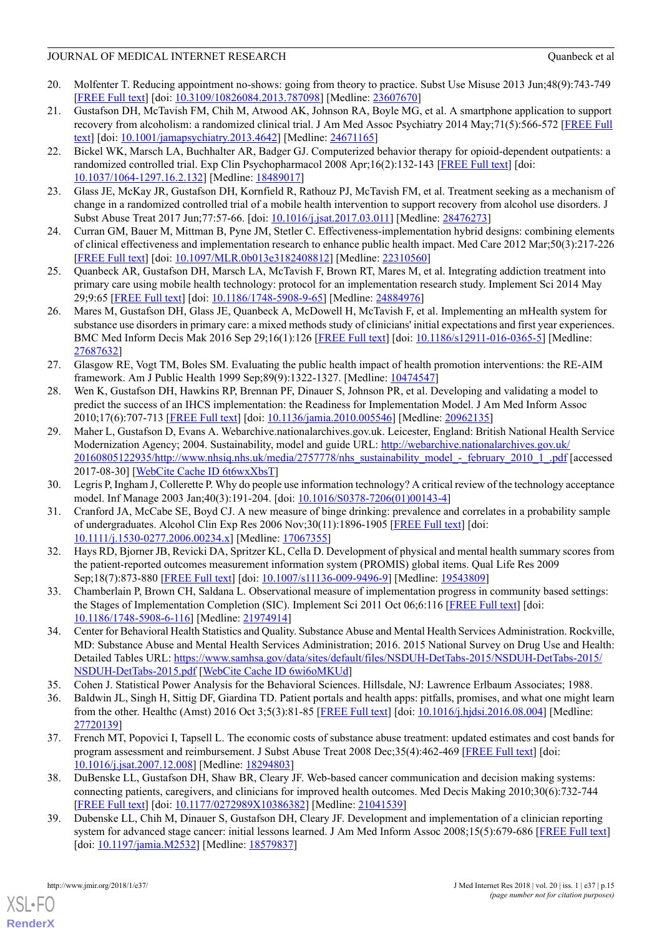- <span id="page-14-0"></span>20. Molfenter T. Reducing appointment no-shows: going from theory to practice. Subst Use Misuse 2013 Jun;48(9):743-749 [[FREE Full text](http://europepmc.org/abstract/MED/23607670)] [doi: [10.3109/10826084.2013.787098\]](http://dx.doi.org/10.3109/10826084.2013.787098) [Medline: [23607670\]](http://www.ncbi.nlm.nih.gov/entrez/query.fcgi?cmd=Retrieve&db=PubMed&list_uids=23607670&dopt=Abstract)
- <span id="page-14-1"></span>21. Gustafson DH, McTavish FM, Chih M, Atwood AK, Johnson RA, Boyle MG, et al. A smartphone application to support recovery from alcoholism: a randomized clinical trial. J Am Med Assoc Psychiatry 2014 May;71(5):566-572 [\[FREE Full](http://europepmc.org/abstract/MED/24671165) [text\]](http://europepmc.org/abstract/MED/24671165) [doi: [10.1001/jamapsychiatry.2013.4642](http://dx.doi.org/10.1001/jamapsychiatry.2013.4642)] [Medline: [24671165\]](http://www.ncbi.nlm.nih.gov/entrez/query.fcgi?cmd=Retrieve&db=PubMed&list_uids=24671165&dopt=Abstract)
- <span id="page-14-2"></span>22. Bickel WK, Marsch LA, Buchhalter AR, Badger GJ. Computerized behavior therapy for opioid-dependent outpatients: a randomized controlled trial. Exp Clin Psychopharmacol 2008 Apr;16(2):132-143 [\[FREE Full text\]](http://europepmc.org/abstract/MED/18489017) [doi: [10.1037/1064-1297.16.2.132\]](http://dx.doi.org/10.1037/1064-1297.16.2.132) [Medline: [18489017](http://www.ncbi.nlm.nih.gov/entrez/query.fcgi?cmd=Retrieve&db=PubMed&list_uids=18489017&dopt=Abstract)]
- <span id="page-14-4"></span><span id="page-14-3"></span>23. Glass JE, McKay JR, Gustafson DH, Kornfield R, Rathouz PJ, McTavish FM, et al. Treatment seeking as a mechanism of change in a randomized controlled trial of a mobile health intervention to support recovery from alcohol use disorders. J Subst Abuse Treat 2017 Jun;77:57-66. [doi: [10.1016/j.jsat.2017.03.011\]](http://dx.doi.org/10.1016/j.jsat.2017.03.011) [Medline: [28476273](http://www.ncbi.nlm.nih.gov/entrez/query.fcgi?cmd=Retrieve&db=PubMed&list_uids=28476273&dopt=Abstract)]
- <span id="page-14-5"></span>24. Curran GM, Bauer M, Mittman B, Pyne JM, Stetler C. Effectiveness-implementation hybrid designs: combining elements of clinical effectiveness and implementation research to enhance public health impact. Med Care 2012 Mar;50(3):217-226 [[FREE Full text](http://europepmc.org/abstract/MED/22310560)] [doi: [10.1097/MLR.0b013e3182408812](http://dx.doi.org/10.1097/MLR.0b013e3182408812)] [Medline: [22310560](http://www.ncbi.nlm.nih.gov/entrez/query.fcgi?cmd=Retrieve&db=PubMed&list_uids=22310560&dopt=Abstract)]
- <span id="page-14-6"></span>25. Quanbeck AR, Gustafson DH, Marsch LA, McTavish F, Brown RT, Mares M, et al. Integrating addiction treatment into primary care using mobile health technology: protocol for an implementation research study. Implement Sci 2014 May 29;9:65 [[FREE Full text](https://implementationscience.biomedcentral.com/articles/10.1186/1748-5908-9-65)] [doi: [10.1186/1748-5908-9-65](http://dx.doi.org/10.1186/1748-5908-9-65)] [Medline: [24884976](http://www.ncbi.nlm.nih.gov/entrez/query.fcgi?cmd=Retrieve&db=PubMed&list_uids=24884976&dopt=Abstract)]
- <span id="page-14-7"></span>26. Mares M, Gustafson DH, Glass JE, Quanbeck A, McDowell H, McTavish F, et al. Implementing an mHealth system for substance use disorders in primary care: a mixed methods study of clinicians' initial expectations and first year experiences. BMC Med Inform Decis Mak 2016 Sep 29;16(1):126 [\[FREE Full text\]](https://bmcmedinformdecismak.biomedcentral.com/articles/10.1186/s12911-016-0365-5) [doi: [10.1186/s12911-016-0365-5\]](http://dx.doi.org/10.1186/s12911-016-0365-5) [Medline: [27687632](http://www.ncbi.nlm.nih.gov/entrez/query.fcgi?cmd=Retrieve&db=PubMed&list_uids=27687632&dopt=Abstract)]
- <span id="page-14-8"></span>27. Glasgow RE, Vogt TM, Boles SM. Evaluating the public health impact of health promotion interventions: the RE-AIM framework. Am J Public Health 1999 Sep;89(9):1322-1327. [Medline: [10474547](http://www.ncbi.nlm.nih.gov/entrez/query.fcgi?cmd=Retrieve&db=PubMed&list_uids=10474547&dopt=Abstract)]
- 28. Wen K, Gustafson DH, Hawkins RP, Brennan PF, Dinauer S, Johnson PR, et al. Developing and validating a model to predict the success of an IHCS implementation: the Readiness for Implementation Model. J Am Med Inform Assoc 2010;17(6):707-713 [[FREE Full text](http://europepmc.org/abstract/MED/20962135)] [doi: [10.1136/jamia.2010.005546\]](http://dx.doi.org/10.1136/jamia.2010.005546) [Medline: [20962135](http://www.ncbi.nlm.nih.gov/entrez/query.fcgi?cmd=Retrieve&db=PubMed&list_uids=20962135&dopt=Abstract)]
- <span id="page-14-9"></span>29. Maher L, Gustafson D, Evans A. Webarchive.nationalarchives.gov.uk. Leicester, England: British National Health Service Modernization Agency; 2004. Sustainability, model and guide URL: [http://webarchive.nationalarchives.gov.uk/](http://webarchive.nationalarchives.gov.uk/20160805122935/http://www.nhsiq.nhs.uk/media/2757778/nhs_sustainability_model_-_february_2010_1_.pdf) [20160805122935/http://www.nhsiq.nhs.uk/media/2757778/nhs\\_sustainability\\_model\\_-\\_february\\_2010\\_1\\_.pdf](http://webarchive.nationalarchives.gov.uk/20160805122935/http://www.nhsiq.nhs.uk/media/2757778/nhs_sustainability_model_-_february_2010_1_.pdf) [accessed 2017-08-30] [\[WebCite Cache ID 6t6wxXbsT](http://www.webcitation.org/6t6wxXbsT)]
- <span id="page-14-11"></span><span id="page-14-10"></span>30. Legris P, Ingham J, Collerette P. Why do people use information technology? A critical review of the technology acceptance model. Inf Manage 2003 Jan;40(3):191-204. [doi: [10.1016/S0378-7206\(01\)00143-4](http://dx.doi.org/10.1016/S0378-7206(01)00143-4)]
- 31. Cranford JA, McCabe SE, Boyd CJ. A new measure of binge drinking: prevalence and correlates in a probability sample of undergraduates. Alcohol Clin Exp Res 2006 Nov;30(11):1896-1905 [\[FREE Full text\]](http://europepmc.org/abstract/MED/17067355) [doi: [10.1111/j.1530-0277.2006.00234.x\]](http://dx.doi.org/10.1111/j.1530-0277.2006.00234.x) [Medline: [17067355](http://www.ncbi.nlm.nih.gov/entrez/query.fcgi?cmd=Retrieve&db=PubMed&list_uids=17067355&dopt=Abstract)]
- <span id="page-14-13"></span><span id="page-14-12"></span>32. Hays RD, Bjorner JB, Revicki DA, Spritzer KL, Cella D. Development of physical and mental health summary scores from the patient-reported outcomes measurement information system (PROMIS) global items. Qual Life Res 2009 Sep;18(7):873-880 [[FREE Full text](http://europepmc.org/abstract/MED/19543809)] [doi: [10.1007/s11136-009-9496-9\]](http://dx.doi.org/10.1007/s11136-009-9496-9) [Medline: [19543809\]](http://www.ncbi.nlm.nih.gov/entrez/query.fcgi?cmd=Retrieve&db=PubMed&list_uids=19543809&dopt=Abstract)
- 33. Chamberlain P, Brown CH, Saldana L. Observational measure of implementation progress in community based settings: the Stages of Implementation Completion (SIC). Implement Sci 2011 Oct 06;6:116 [\[FREE Full text\]](https://implementationscience.biomedcentral.com/articles/10.1186/1748-5908-6-116) [doi: [10.1186/1748-5908-6-116](http://dx.doi.org/10.1186/1748-5908-6-116)] [Medline: [21974914\]](http://www.ncbi.nlm.nih.gov/entrez/query.fcgi?cmd=Retrieve&db=PubMed&list_uids=21974914&dopt=Abstract)
- <span id="page-14-15"></span><span id="page-14-14"></span>34. Center for Behavioral Health Statistics and Quality. Substance Abuse and Mental Health Services Administration. Rockville, MD: Substance Abuse and Mental Health Services Administration; 2016. 2015 National Survey on Drug Use and Health: Detailed Tables URL: [https://www.samhsa.gov/data/sites/default/files/NSDUH-DetTabs-2015/NSDUH-DetTabs-2015/](https://www.samhsa.gov/data/sites/default/files/NSDUH-DetTabs-2015/NSDUH-DetTabs-2015/NSDUH-DetTabs-2015.pdf) [NSDUH-DetTabs-2015.pdf](https://www.samhsa.gov/data/sites/default/files/NSDUH-DetTabs-2015/NSDUH-DetTabs-2015/NSDUH-DetTabs-2015.pdf) [\[WebCite Cache ID 6wi6oMKUd](http://www.webcitation.org/6wi6oMKUd)]
- <span id="page-14-16"></span>35. Cohen J. Statistical Power Analysis for the Behavioral Sciences. Hillsdale, NJ: Lawrence Erlbaum Associates; 1988.
- <span id="page-14-17"></span>36. Baldwin JL, Singh H, Sittig DF, Giardina TD. Patient portals and health apps: pitfalls, promises, and what one might learn from the other. Healthc (Amst) 2016 Oct 3;5(3):81-85 [\[FREE Full text\]](http://linkinghub.elsevier.com/retrieve/pii/S2213-0764(16)30012-4) [doi: [10.1016/j.hjdsi.2016.08.004](http://dx.doi.org/10.1016/j.hjdsi.2016.08.004)] [Medline: [27720139](http://www.ncbi.nlm.nih.gov/entrez/query.fcgi?cmd=Retrieve&db=PubMed&list_uids=27720139&dopt=Abstract)]
- <span id="page-14-18"></span>37. French MT, Popovici I, Tapsell L. The economic costs of substance abuse treatment: updated estimates and cost bands for program assessment and reimbursement. J Subst Abuse Treat 2008 Dec;35(4):462-469 [[FREE Full text](http://europepmc.org/abstract/MED/18294803)] [doi: [10.1016/j.jsat.2007.12.008](http://dx.doi.org/10.1016/j.jsat.2007.12.008)] [Medline: [18294803](http://www.ncbi.nlm.nih.gov/entrez/query.fcgi?cmd=Retrieve&db=PubMed&list_uids=18294803&dopt=Abstract)]
- 38. DuBenske LL, Gustafson DH, Shaw BR, Cleary JF. Web-based cancer communication and decision making systems: connecting patients, caregivers, and clinicians for improved health outcomes. Med Decis Making 2010;30(6):732-744 [[FREE Full text](http://europepmc.org/abstract/MED/21041539)] [doi: [10.1177/0272989X10386382\]](http://dx.doi.org/10.1177/0272989X10386382) [Medline: [21041539](http://www.ncbi.nlm.nih.gov/entrez/query.fcgi?cmd=Retrieve&db=PubMed&list_uids=21041539&dopt=Abstract)]
- 39. Dubenske LL, Chih M, Dinauer S, Gustafson DH, Cleary JF. Development and implementation of a clinician reporting system for advanced stage cancer: initial lessons learned. J Am Med Inform Assoc 2008;15(5):679-686 [\[FREE Full text\]](http://europepmc.org/abstract/MED/18579837) [doi: [10.1197/jamia.M2532](http://dx.doi.org/10.1197/jamia.M2532)] [Medline: [18579837](http://www.ncbi.nlm.nih.gov/entrez/query.fcgi?cmd=Retrieve&db=PubMed&list_uids=18579837&dopt=Abstract)]